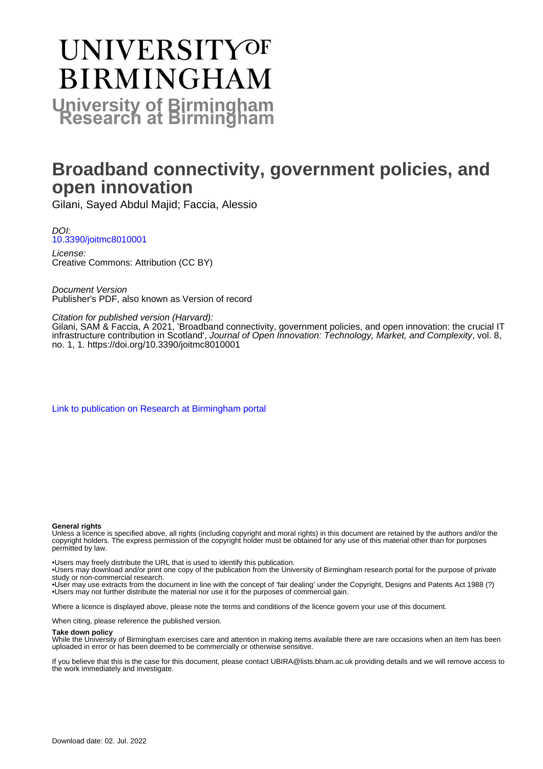# **UNIVERSITYOF BIRMINGHAM University of Birmingham**

# **Broadband connectivity, government policies, and open innovation**

Gilani, Sayed Abdul Majid; Faccia, Alessio

DOI: [10.3390/joitmc8010001](https://doi.org/10.3390/joitmc8010001)

License: Creative Commons: Attribution (CC BY)

Document Version Publisher's PDF, also known as Version of record

### Citation for published version (Harvard):

Gilani, SAM & Faccia, A 2021, 'Broadband connectivity, government policies, and open innovation: the crucial IT infrastructure contribution in Scotland', Journal of Open Innovation: Technology, Market, and Complexity, vol. 8, no. 1, 1. <https://doi.org/10.3390/joitmc8010001>

[Link to publication on Research at Birmingham portal](https://birmingham.elsevierpure.com/en/publications/6ae55858-9073-4576-8972-bd8a89e2bdea)

### **General rights**

Unless a licence is specified above, all rights (including copyright and moral rights) in this document are retained by the authors and/or the copyright holders. The express permission of the copyright holder must be obtained for any use of this material other than for purposes permitted by law.

• Users may freely distribute the URL that is used to identify this publication.

• Users may download and/or print one copy of the publication from the University of Birmingham research portal for the purpose of private study or non-commercial research.

• User may use extracts from the document in line with the concept of 'fair dealing' under the Copyright, Designs and Patents Act 1988 (?) • Users may not further distribute the material nor use it for the purposes of commercial gain.

Where a licence is displayed above, please note the terms and conditions of the licence govern your use of this document.

When citing, please reference the published version.

### **Take down policy**

While the University of Birmingham exercises care and attention in making items available there are rare occasions when an item has been uploaded in error or has been deemed to be commercially or otherwise sensitive.

If you believe that this is the case for this document, please contact UBIRA@lists.bham.ac.uk providing details and we will remove access to the work immediately and investigate.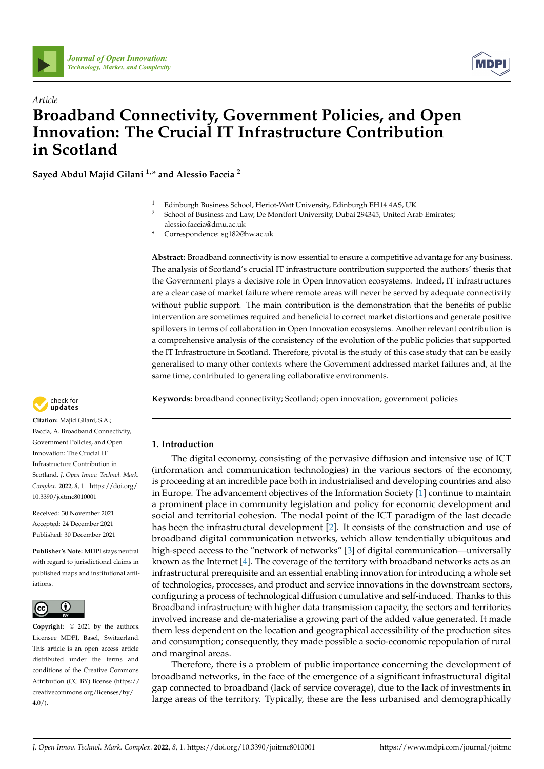



## *Article* **Broadband Connectivity, Government Policies, and Open Innovation: The Crucial IT Infrastructure Contribution in Scotland**

**Sayed Abdul Majid Gilani 1,\* and Alessio Faccia <sup>2</sup>**

- <sup>1</sup> Edinburgh Business School, Heriot-Watt University, Edinburgh EH14 4AS, UK
- <sup>2</sup> School of Business and Law, De Montfort University, Dubai 294345, United Arab Emirates; alessio.faccia@dmu.ac.uk
- **\*** Correspondence: sg182@hw.ac.uk

**Abstract:** Broadband connectivity is now essential to ensure a competitive advantage for any business. The analysis of Scotland's crucial IT infrastructure contribution supported the authors' thesis that the Government plays a decisive role in Open Innovation ecosystems. Indeed, IT infrastructures are a clear case of market failure where remote areas will never be served by adequate connectivity without public support. The main contribution is the demonstration that the benefits of public intervention are sometimes required and beneficial to correct market distortions and generate positive spillovers in terms of collaboration in Open Innovation ecosystems. Another relevant contribution is a comprehensive analysis of the consistency of the evolution of the public policies that supported the IT Infrastructure in Scotland. Therefore, pivotal is the study of this case study that can be easily generalised to many other contexts where the Government addressed market failures and, at the same time, contributed to generating collaborative environments.

**Keywords:** broadband connectivity; Scotland; open innovation; government policies



**Citation:** Majid Gilani, S.A.; Faccia, A. Broadband Connectivity, Government Policies, and Open Innovation: The Crucial IT Infrastructure Contribution in Scotland. *J. Open Innov. Technol. Mark. Complex.* **2022**, *8*, 1. [https://doi.org/](https://doi.org/10.3390/joitmc8010001) [10.3390/joitmc8010001](https://doi.org/10.3390/joitmc8010001)

Received: 30 November 2021 Accepted: 24 December 2021 Published: 30 December 2021

**Publisher's Note:** MDPI stays neutral with regard to jurisdictional claims in published maps and institutional affiliations.



**Copyright:** © 2021 by the authors. Licensee MDPI, Basel, Switzerland. This article is an open access article distributed under the terms and conditions of the Creative Commons Attribution (CC BY) license [\(https://](https://creativecommons.org/licenses/by/4.0/) [creativecommons.org/licenses/by/](https://creativecommons.org/licenses/by/4.0/) *[Journal of Open Innovation:](https://www.mdpi.com/journal/joitmc)*<br> *Journal of Open Innovation:*<br> *Article*<br> **Broadband Connective<br>
<b>Broadband** Connective<br> **Simple Connective**<br> **Simple Consequence**<br> **Abdul Majid Gilani** <sup>1,∗</sup> and<br>
<sup>1</sup> Ed a le G a substripan

### **1. Introduction**

The digital economy, consisting of the pervasive diffusion and intensive use of ICT (information and communication technologies) in the various sectors of the economy, is proceeding at an incredible pace both in industrialised and developing countries and also in Europe. The advancement objectives of the Information Society [\[1\]](#page-24-0) continue to maintain a prominent place in community legislation and policy for economic development and social and territorial cohesion. The nodal point of the ICT paradigm of the last decade has been the infrastructural development [\[2\]](#page-24-1). It consists of the construction and use of broadband digital communication networks, which allow tendentially ubiquitous and high-speed access to the "network of networks" [\[3\]](#page-24-2) of digital communication—universally known as the Internet [\[4\]](#page-24-3). The coverage of the territory with broadband networks acts as an infrastructural prerequisite and an essential enabling innovation for introducing a whole set of technologies, processes, and product and service innovations in the downstream sectors, configuring a process of technological diffusion cumulative and self-induced. Thanks to this Broadband infrastructure with higher data transmission capacity, the sectors and territories involved increase and de-materialise a growing part of the added value generated. It made them less dependent on the location and geographical accessibility of the production sites and consumption; consequently, they made possible a socio-economic repopulation of rural and marginal areas.

Therefore, there is a problem of public importance concerning the development of broadband networks, in the face of the emergence of a significant infrastructural digital gap connected to broadband (lack of service coverage), due to the lack of investments in large areas of the territory. Typically, these are the less urbanised and demographically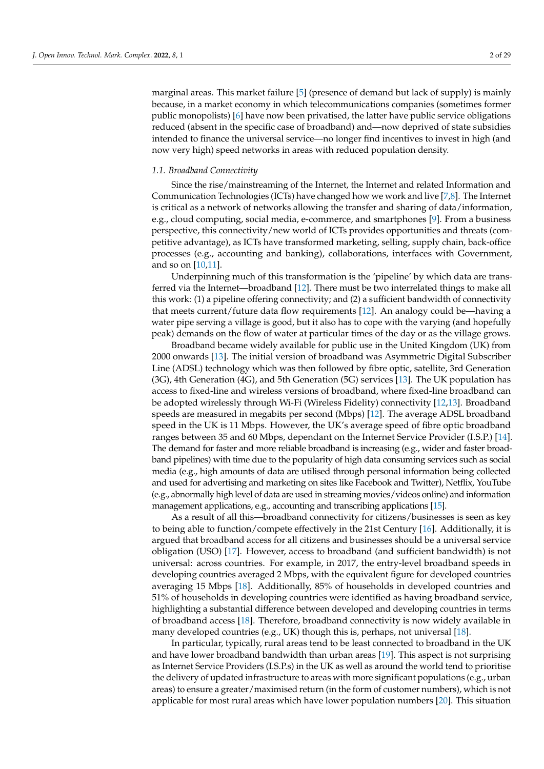marginal areas. This market failure [\[5\]](#page-24-4) (presence of demand but lack of supply) is mainly because, in a market economy in which telecommunications companies (sometimes former public monopolists) [\[6\]](#page-24-5) have now been privatised, the latter have public service obligations reduced (absent in the specific case of broadband) and—now deprived of state subsidies intended to finance the universal service—no longer find incentives to invest in high (and now very high) speed networks in areas with reduced population density.

### *1.1. Broadband Connectivity*

Since the rise/mainstreaming of the Internet, the Internet and related Information and Communication Technologies (ICTs) have changed how we work and live [\[7,](#page-24-6)[8\]](#page-24-7). The Internet is critical as a network of networks allowing the transfer and sharing of data/information, e.g., cloud computing, social media, e-commerce, and smartphones [\[9\]](#page-24-8). From a business perspective, this connectivity/new world of ICTs provides opportunities and threats (competitive advantage), as ICTs have transformed marketing, selling, supply chain, back-office processes (e.g., accounting and banking), collaborations, interfaces with Government, and so on [\[10](#page-24-9)[,11\]](#page-24-10).

Underpinning much of this transformation is the 'pipeline' by which data are transferred via the Internet—broadband [\[12\]](#page-24-11). There must be two interrelated things to make all this work: (1) a pipeline offering connectivity; and (2) a sufficient bandwidth of connectivity that meets current/future data flow requirements [\[12\]](#page-24-11). An analogy could be—having a water pipe serving a village is good, but it also has to cope with the varying (and hopefully peak) demands on the flow of water at particular times of the day or as the village grows.

Broadband became widely available for public use in the United Kingdom (UK) from 2000 onwards [\[13\]](#page-24-12). The initial version of broadband was Asymmetric Digital Subscriber Line (ADSL) technology which was then followed by fibre optic, satellite, 3rd Generation (3G), 4th Generation (4G), and 5th Generation (5G) services [\[13\]](#page-24-12). The UK population has access to fixed-line and wireless versions of broadband, where fixed-line broadband can be adopted wirelessly through Wi-Fi (Wireless Fidelity) connectivity [\[12,](#page-24-11)[13\]](#page-24-12). Broadband speeds are measured in megabits per second (Mbps) [\[12\]](#page-24-11). The average ADSL broadband speed in the UK is 11 Mbps. However, the UK's average speed of fibre optic broadband ranges between 35 and 60 Mbps, dependant on the Internet Service Provider (I.S.P.) [\[14\]](#page-24-13). The demand for faster and more reliable broadband is increasing (e.g., wider and faster broadband pipelines) with time due to the popularity of high data consuming services such as social media (e.g., high amounts of data are utilised through personal information being collected and used for advertising and marketing on sites like Facebook and Twitter), Netflix, YouTube (e.g., abnormally high level of data are used in streaming movies/videos online) and information management applications, e.g., accounting and transcribing applications [\[15\]](#page-24-14).

As a result of all this—broadband connectivity for citizens/businesses is seen as key to being able to function/compete effectively in the 21st Century [\[16\]](#page-24-15). Additionally, it is argued that broadband access for all citizens and businesses should be a universal service obligation (USO) [\[17\]](#page-25-0). However, access to broadband (and sufficient bandwidth) is not universal: across countries. For example, in 2017, the entry-level broadband speeds in developing countries averaged 2 Mbps, with the equivalent figure for developed countries averaging 15 Mbps [\[18\]](#page-25-1). Additionally, 85% of households in developed countries and 51% of households in developing countries were identified as having broadband service, highlighting a substantial difference between developed and developing countries in terms of broadband access [\[18\]](#page-25-1). Therefore, broadband connectivity is now widely available in many developed countries (e.g., UK) though this is, perhaps, not universal [\[18\]](#page-25-1).

In particular, typically, rural areas tend to be least connected to broadband in the UK and have lower broadband bandwidth than urban areas [\[19\]](#page-25-2). This aspect is not surprising as Internet Service Providers (I.S.P.s) in the UK as well as around the world tend to prioritise the delivery of updated infrastructure to areas with more significant populations (e.g., urban areas) to ensure a greater/maximised return (in the form of customer numbers), which is not applicable for most rural areas which have lower population numbers [\[20\]](#page-25-3). This situation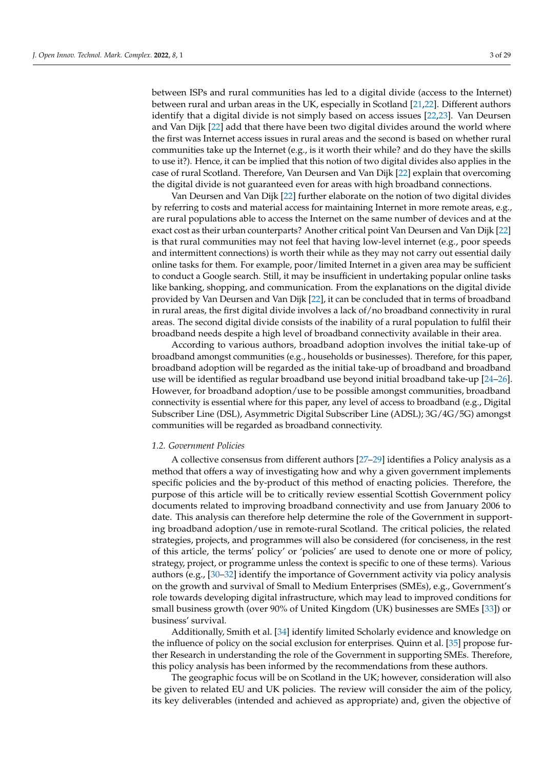between ISPs and rural communities has led to a digital divide (access to the Internet) between rural and urban areas in the UK, especially in Scotland [\[21](#page-25-4)[,22\]](#page-25-5). Different authors identify that a digital divide is not simply based on access issues [\[22,](#page-25-5)[23\]](#page-25-6). Van Deursen and Van Dijk [\[22\]](#page-25-5) add that there have been two digital divides around the world where the first was Internet access issues in rural areas and the second is based on whether rural communities take up the Internet (e.g., is it worth their while? and do they have the skills to use it?). Hence, it can be implied that this notion of two digital divides also applies in the case of rural Scotland. Therefore, Van Deursen and Van Dijk [\[22\]](#page-25-5) explain that overcoming the digital divide is not guaranteed even for areas with high broadband connections.

Van Deursen and Van Dijk [\[22\]](#page-25-5) further elaborate on the notion of two digital divides by referring to costs and material access for maintaining Internet in more remote areas, e.g., are rural populations able to access the Internet on the same number of devices and at the exact cost as their urban counterparts? Another critical point Van Deursen and Van Dijk [\[22\]](#page-25-5) is that rural communities may not feel that having low-level internet (e.g., poor speeds and intermittent connections) is worth their while as they may not carry out essential daily online tasks for them. For example, poor/limited Internet in a given area may be sufficient to conduct a Google search. Still, it may be insufficient in undertaking popular online tasks like banking, shopping, and communication. From the explanations on the digital divide provided by Van Deursen and Van Dijk [\[22\]](#page-25-5), it can be concluded that in terms of broadband in rural areas, the first digital divide involves a lack of/no broadband connectivity in rural areas. The second digital divide consists of the inability of a rural population to fulfil their broadband needs despite a high level of broadband connectivity available in their area.

According to various authors, broadband adoption involves the initial take-up of broadband amongst communities (e.g., households or businesses). Therefore, for this paper, broadband adoption will be regarded as the initial take-up of broadband and broadband use will be identified as regular broadband use beyond initial broadband take-up [\[24](#page-25-7)[–26\]](#page-25-8). However, for broadband adoption/use to be possible amongst communities, broadband connectivity is essential where for this paper, any level of access to broadband (e.g., Digital Subscriber Line (DSL), Asymmetric Digital Subscriber Line (ADSL); 3G/4G/5G) amongst communities will be regarded as broadband connectivity.

### *1.2. Government Policies*

A collective consensus from different authors [\[27](#page-25-9)[–29\]](#page-25-10) identifies a Policy analysis as a method that offers a way of investigating how and why a given government implements specific policies and the by-product of this method of enacting policies. Therefore, the purpose of this article will be to critically review essential Scottish Government policy documents related to improving broadband connectivity and use from January 2006 to date. This analysis can therefore help determine the role of the Government in supporting broadband adoption/use in remote-rural Scotland. The critical policies, the related strategies, projects, and programmes will also be considered (for conciseness, in the rest of this article, the terms' policy' or 'policies' are used to denote one or more of policy, strategy, project, or programme unless the context is specific to one of these terms). Various authors (e.g., [\[30–](#page-25-11)[32\]](#page-25-12) identify the importance of Government activity via policy analysis on the growth and survival of Small to Medium Enterprises (SMEs), e.g., Government's role towards developing digital infrastructure, which may lead to improved conditions for small business growth (over 90% of United Kingdom (UK) businesses are SMEs [\[33\]](#page-25-13)) or business' survival.

Additionally, Smith et al. [\[34\]](#page-25-14) identify limited Scholarly evidence and knowledge on the influence of policy on the social exclusion for enterprises. Quinn et al. [\[35\]](#page-25-15) propose further Research in understanding the role of the Government in supporting SMEs. Therefore, this policy analysis has been informed by the recommendations from these authors.

The geographic focus will be on Scotland in the UK; however, consideration will also be given to related EU and UK policies. The review will consider the aim of the policy, its key deliverables (intended and achieved as appropriate) and, given the objective of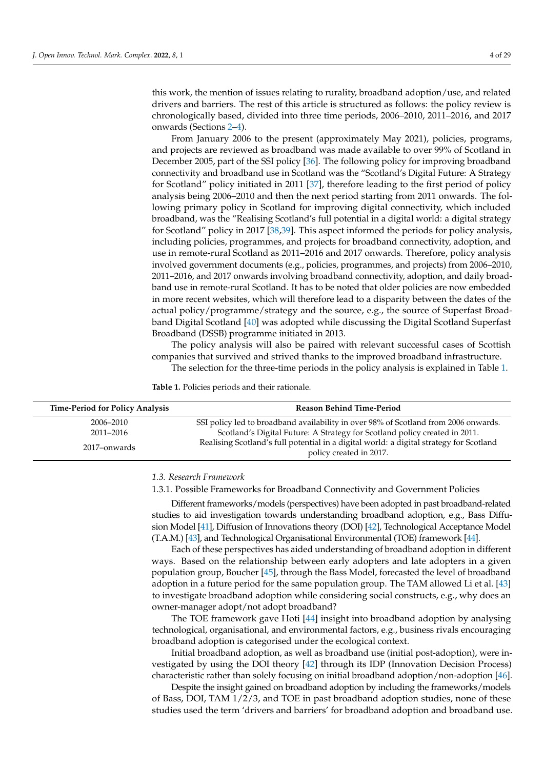this work, the mention of issues relating to rurality, broadband adoption/use, and related drivers and barriers. The rest of this article is structured as follows: the policy review is chronologically based, divided into three time periods, 2006–2010, 2011–2016, and 2017 onwards (Sections [2](#page-5-0)[–4\)](#page-15-0).

From January 2006 to the present (approximately May 2021), policies, programs, and projects are reviewed as broadband was made available to over 99% of Scotland in December 2005, part of the SSI policy [\[36\]](#page-25-16). The following policy for improving broadband connectivity and broadband use in Scotland was the "Scotland's Digital Future: A Strategy for Scotland" policy initiated in 2011 [\[37\]](#page-25-17), therefore leading to the first period of policy analysis being 2006–2010 and then the next period starting from 2011 onwards. The following primary policy in Scotland for improving digital connectivity, which included broadband, was the "Realising Scotland's full potential in a digital world: a digital strategy for Scotland" policy in 2017 [\[38](#page-25-18)[,39\]](#page-25-19). This aspect informed the periods for policy analysis, including policies, programmes, and projects for broadband connectivity, adoption, and use in remote-rural Scotland as 2011–2016 and 2017 onwards. Therefore, policy analysis involved government documents (e.g., policies, programmes, and projects) from 2006–2010, 2011–2016, and 2017 onwards involving broadband connectivity, adoption, and daily broadband use in remote-rural Scotland. It has to be noted that older policies are now embedded in more recent websites, which will therefore lead to a disparity between the dates of the actual policy/programme/strategy and the source, e.g., the source of Superfast Broadband Digital Scotland [\[40\]](#page-25-20) was adopted while discussing the Digital Scotland Superfast Broadband (DSSB) programme initiated in 2013.

The policy analysis will also be paired with relevant successful cases of Scottish companies that survived and strived thanks to the improved broadband infrastructure.

The selection for the three-time periods in the policy analysis is explained in Table [1.](#page-4-0)

<span id="page-4-0"></span>**Table 1.** Policies periods and their rationale.

| <b>Time-Period for Policy Analysis</b> | <b>Reason Behind Time-Period</b>                                                                                   |  |
|----------------------------------------|--------------------------------------------------------------------------------------------------------------------|--|
| 2006–2010                              | SSI policy led to broadband availability in over 98% of Scotland from 2006 onwards.                                |  |
| 2011–2016                              | Scotland's Digital Future: A Strategy for Scotland policy created in 2011.                                         |  |
| 2017–onwards                           | Realising Scotland's full potential in a digital world: a digital strategy for Scotland<br>policy created in 2017. |  |

### *1.3. Research Framework*

1.3.1. Possible Frameworks for Broadband Connectivity and Government Policies

Different frameworks/models (perspectives) have been adopted in past broadband-related studies to aid investigation towards understanding broadband adoption, e.g., Bass Diffusion Model [\[41\]](#page-25-21), Diffusion of Innovations theory (DOI) [\[42\]](#page-25-22), Technological Acceptance Model (T.A.M.) [\[43\]](#page-25-23), and Technological Organisational Environmental (TOE) framework [\[44\]](#page-25-24).

Each of these perspectives has aided understanding of broadband adoption in different ways. Based on the relationship between early adopters and late adopters in a given population group, Boucher [\[45\]](#page-25-25), through the Bass Model, forecasted the level of broadband adoption in a future period for the same population group. The TAM allowed Li et al. [\[43\]](#page-25-23) to investigate broadband adoption while considering social constructs, e.g., why does an owner-manager adopt/not adopt broadband?

The TOE framework gave Hoti [\[44\]](#page-25-24) insight into broadband adoption by analysing technological, organisational, and environmental factors, e.g., business rivals encouraging broadband adoption is categorised under the ecological context.

Initial broadband adoption, as well as broadband use (initial post-adoption), were investigated by using the DOI theory [\[42\]](#page-25-22) through its IDP (Innovation Decision Process) characteristic rather than solely focusing on initial broadband adoption/non-adoption [\[46\]](#page-26-0).

Despite the insight gained on broadband adoption by including the frameworks/models of Bass, DOI, TAM 1/2/3, and TOE in past broadband adoption studies, none of these studies used the term 'drivers and barriers' for broadband adoption and broadband use.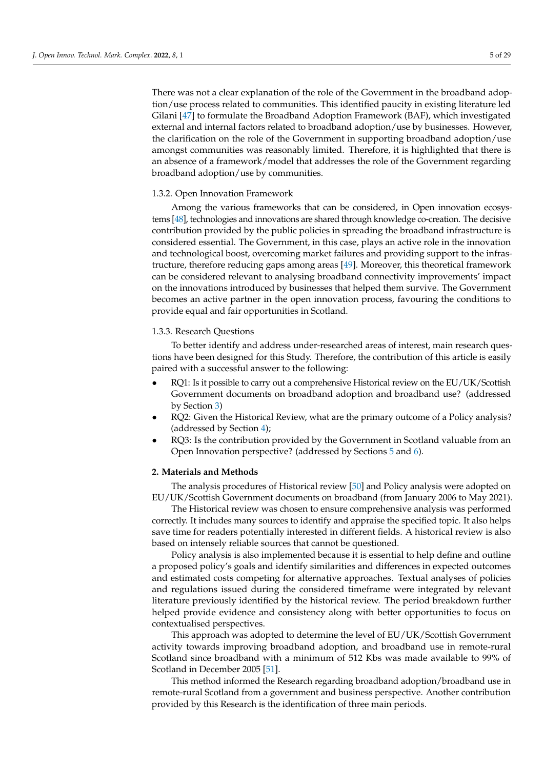There was not a clear explanation of the role of the Government in the broadband adoption/use process related to communities. This identified paucity in existing literature led Gilani [\[47\]](#page-26-1) to formulate the Broadband Adoption Framework (BAF), which investigated external and internal factors related to broadband adoption/use by businesses. However, the clarification on the role of the Government in supporting broadband adoption/use amongst communities was reasonably limited. Therefore, it is highlighted that there is an absence of a framework/model that addresses the role of the Government regarding broadband adoption/use by communities.

### 1.3.2. Open Innovation Framework

Among the various frameworks that can be considered, in Open innovation ecosystems [\[48\]](#page-26-2), technologies and innovations are shared through knowledge co-creation. The decisive contribution provided by the public policies in spreading the broadband infrastructure is considered essential. The Government, in this case, plays an active role in the innovation and technological boost, overcoming market failures and providing support to the infrastructure, therefore reducing gaps among areas [\[49\]](#page-26-3). Moreover, this theoretical framework can be considered relevant to analysing broadband connectivity improvements' impact on the innovations introduced by businesses that helped them survive. The Government becomes an active partner in the open innovation process, favouring the conditions to provide equal and fair opportunities in Scotland.

### 1.3.3. Research Questions

To better identify and address under-researched areas of interest, main research questions have been designed for this Study. Therefore, the contribution of this article is easily paired with a successful answer to the following:

- RQ1: Is it possible to carry out a comprehensive Historical review on the EU/UK/Scottish Government documents on broadband adoption and broadband use? (addressed by Section [3\)](#page-6-0)
- RQ2: Given the Historical Review, what are the primary outcome of a Policy analysis? (addressed by Section [4\)](#page-15-0);
- RQ3: Is the contribution provided by the Government in Scotland valuable from an Open Innovation perspective? (addressed by Sections [5](#page-18-0) and [6\)](#page-20-0).

### <span id="page-5-0"></span>**2. Materials and Methods**

The analysis procedures of Historical review [\[50\]](#page-26-4) and Policy analysis were adopted on EU/UK/Scottish Government documents on broadband (from January 2006 to May 2021).

The Historical review was chosen to ensure comprehensive analysis was performed correctly. It includes many sources to identify and appraise the specified topic. It also helps save time for readers potentially interested in different fields. A historical review is also based on intensely reliable sources that cannot be questioned.

Policy analysis is also implemented because it is essential to help define and outline a proposed policy's goals and identify similarities and differences in expected outcomes and estimated costs competing for alternative approaches. Textual analyses of policies and regulations issued during the considered timeframe were integrated by relevant literature previously identified by the historical review. The period breakdown further helped provide evidence and consistency along with better opportunities to focus on contextualised perspectives.

This approach was adopted to determine the level of EU/UK/Scottish Government activity towards improving broadband adoption, and broadband use in remote-rural Scotland since broadband with a minimum of 512 Kbs was made available to 99% of Scotland in December 2005 [\[51\]](#page-26-5).

This method informed the Research regarding broadband adoption/broadband use in remote-rural Scotland from a government and business perspective. Another contribution provided by this Research is the identification of three main periods.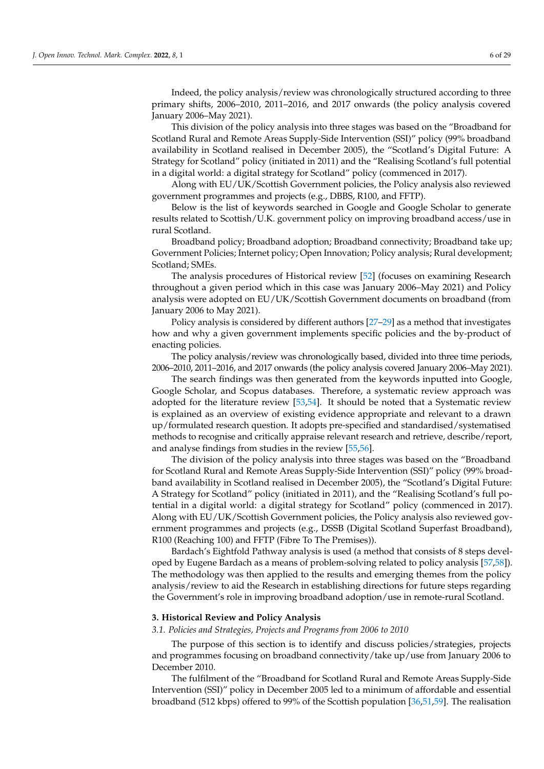Indeed, the policy analysis/review was chronologically structured according to three primary shifts, 2006–2010, 2011–2016, and 2017 onwards (the policy analysis covered January 2006–May 2021).

This division of the policy analysis into three stages was based on the "Broadband for Scotland Rural and Remote Areas Supply-Side Intervention (SSI)" policy (99% broadband availability in Scotland realised in December 2005), the "Scotland's Digital Future: A Strategy for Scotland" policy (initiated in 2011) and the "Realising Scotland's full potential in a digital world: a digital strategy for Scotland" policy (commenced in 2017).

Along with EU/UK/Scottish Government policies, the Policy analysis also reviewed government programmes and projects (e.g., DBBS, R100, and FFTP).

Below is the list of keywords searched in Google and Google Scholar to generate results related to Scottish/U.K. government policy on improving broadband access/use in rural Scotland.

Broadband policy; Broadband adoption; Broadband connectivity; Broadband take up; Government Policies; Internet policy; Open Innovation; Policy analysis; Rural development; Scotland; SMEs.

The analysis procedures of Historical review [\[52\]](#page-26-6) (focuses on examining Research throughout a given period which in this case was January 2006–May 2021) and Policy analysis were adopted on EU/UK/Scottish Government documents on broadband (from January 2006 to May 2021).

Policy analysis is considered by different authors [\[27–](#page-25-9)[29\]](#page-25-10) as a method that investigates how and why a given government implements specific policies and the by-product of enacting policies.

The policy analysis/review was chronologically based, divided into three time periods, 2006–2010, 2011–2016, and 2017 onwards (the policy analysis covered January 2006–May 2021).

The search findings was then generated from the keywords inputted into Google, Google Scholar, and Scopus databases. Therefore, a systematic review approach was adopted for the literature review [\[53,](#page-26-7)[54\]](#page-26-8). It should be noted that a Systematic review is explained as an overview of existing evidence appropriate and relevant to a drawn up/formulated research question. It adopts pre-specified and standardised/systematised methods to recognise and critically appraise relevant research and retrieve, describe/report, and analyse findings from studies in the review [\[55](#page-26-9)[,56\]](#page-26-10).

The division of the policy analysis into three stages was based on the "Broadband for Scotland Rural and Remote Areas Supply-Side Intervention (SSI)" policy (99% broadband availability in Scotland realised in December 2005), the "Scotland's Digital Future: A Strategy for Scotland" policy (initiated in 2011), and the "Realising Scotland's full potential in a digital world: a digital strategy for Scotland" policy (commenced in 2017). Along with EU/UK/Scottish Government policies, the Policy analysis also reviewed government programmes and projects (e.g., DSSB (Digital Scotland Superfast Broadband), R100 (Reaching 100) and FFTP (Fibre To The Premises)).

Bardach's Eightfold Pathway analysis is used (a method that consists of 8 steps developed by Eugene Bardach as a means of problem-solving related to policy analysis [\[57](#page-26-11)[,58\]](#page-26-12)). The methodology was then applied to the results and emerging themes from the policy analysis/review to aid the Research in establishing directions for future steps regarding the Government's role in improving broadband adoption/use in remote-rural Scotland.

### <span id="page-6-0"></span>**3. Historical Review and Policy Analysis**

*3.1. Policies and Strategies, Projects and Programs from 2006 to 2010*

The purpose of this section is to identify and discuss policies/strategies, projects and programmes focusing on broadband connectivity/take up/use from January 2006 to December 2010.

The fulfilment of the "Broadband for Scotland Rural and Remote Areas Supply-Side Intervention (SSI)" policy in December 2005 led to a minimum of affordable and essential broadband (512 kbps) offered to 99% of the Scottish population [\[36,](#page-25-16)[51,](#page-26-5)[59\]](#page-26-13). The realisation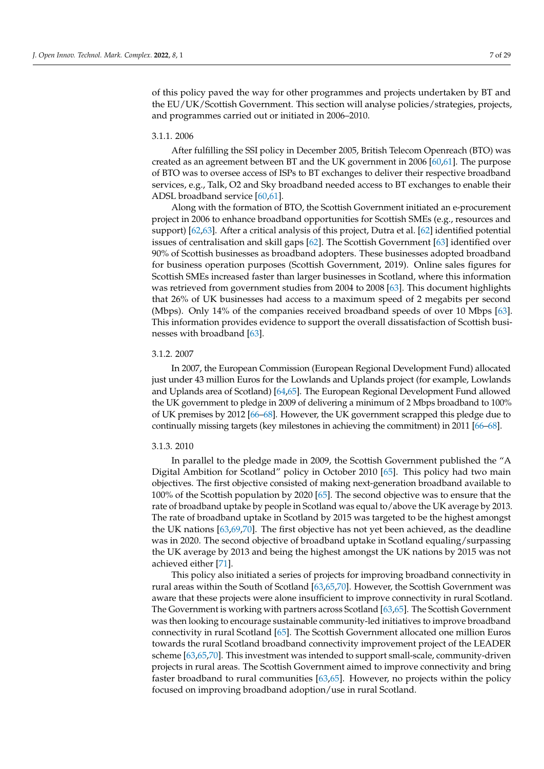of this policy paved the way for other programmes and projects undertaken by BT and the EU/UK/Scottish Government. This section will analyse policies/strategies, projects, and programmes carried out or initiated in 2006–2010.

### 3.1.1. 2006

After fulfilling the SSI policy in December 2005, British Telecom Openreach (BTO) was created as an agreement between BT and the UK government in 2006 [\[60](#page-26-14)[,61\]](#page-26-15). The purpose of BTO was to oversee access of ISPs to BT exchanges to deliver their respective broadband services, e.g., Talk, O2 and Sky broadband needed access to BT exchanges to enable their ADSL broadband service [\[60](#page-26-14)[,61\]](#page-26-15).

Along with the formation of BTO, the Scottish Government initiated an e-procurement project in 2006 to enhance broadband opportunities for Scottish SMEs (e.g., resources and support) [\[62,](#page-26-16)[63\]](#page-26-17). After a critical analysis of this project, Dutra et al. [\[62\]](#page-26-16) identified potential issues of centralisation and skill gaps [\[62\]](#page-26-16). The Scottish Government [\[63\]](#page-26-17) identified over 90% of Scottish businesses as broadband adopters. These businesses adopted broadband for business operation purposes (Scottish Government, 2019). Online sales figures for Scottish SMEs increased faster than larger businesses in Scotland, where this information was retrieved from government studies from 2004 to 2008 [\[63\]](#page-26-17). This document highlights that 26% of UK businesses had access to a maximum speed of 2 megabits per second (Mbps). Only 14% of the companies received broadband speeds of over 10 Mbps [\[63\]](#page-26-17). This information provides evidence to support the overall dissatisfaction of Scottish businesses with broadband [\[63\]](#page-26-17).

### 3.1.2. 2007

In 2007, the European Commission (European Regional Development Fund) allocated just under 43 million Euros for the Lowlands and Uplands project (for example, Lowlands and Uplands area of Scotland) [\[64,](#page-26-18)[65\]](#page-26-19). The European Regional Development Fund allowed the UK government to pledge in 2009 of delivering a minimum of 2 Mbps broadband to 100% of UK premises by 2012 [\[66–](#page-26-20)[68\]](#page-26-21). However, the UK government scrapped this pledge due to continually missing targets (key milestones in achieving the commitment) in 2011 [\[66–](#page-26-20)[68\]](#page-26-21).

### 3.1.3. 2010

In parallel to the pledge made in 2009, the Scottish Government published the "A Digital Ambition for Scotland" policy in October 2010 [\[65\]](#page-26-19). This policy had two main objectives. The first objective consisted of making next-generation broadband available to 100% of the Scottish population by 2020 [\[65\]](#page-26-19). The second objective was to ensure that the rate of broadband uptake by people in Scotland was equal to/above the UK average by 2013. The rate of broadband uptake in Scotland by 2015 was targeted to be the highest amongst the UK nations [\[63,](#page-26-17)[69,](#page-26-22)[70\]](#page-26-23). The first objective has not yet been achieved, as the deadline was in 2020. The second objective of broadband uptake in Scotland equaling/surpassing the UK average by 2013 and being the highest amongst the UK nations by 2015 was not achieved either [\[71\]](#page-26-24).

This policy also initiated a series of projects for improving broadband connectivity in rural areas within the South of Scotland [\[63](#page-26-17)[,65](#page-26-19)[,70\]](#page-26-23). However, the Scottish Government was aware that these projects were alone insufficient to improve connectivity in rural Scotland. The Government is working with partners across Scotland [\[63,](#page-26-17)[65\]](#page-26-19). The Scottish Government was then looking to encourage sustainable community-led initiatives to improve broadband connectivity in rural Scotland [\[65\]](#page-26-19). The Scottish Government allocated one million Euros towards the rural Scotland broadband connectivity improvement project of the LEADER scheme [\[63](#page-26-17)[,65,](#page-26-19)[70\]](#page-26-23). This investment was intended to support small-scale, community-driven projects in rural areas. The Scottish Government aimed to improve connectivity and bring faster broadband to rural communities [\[63](#page-26-17)[,65\]](#page-26-19). However, no projects within the policy focused on improving broadband adoption/use in rural Scotland.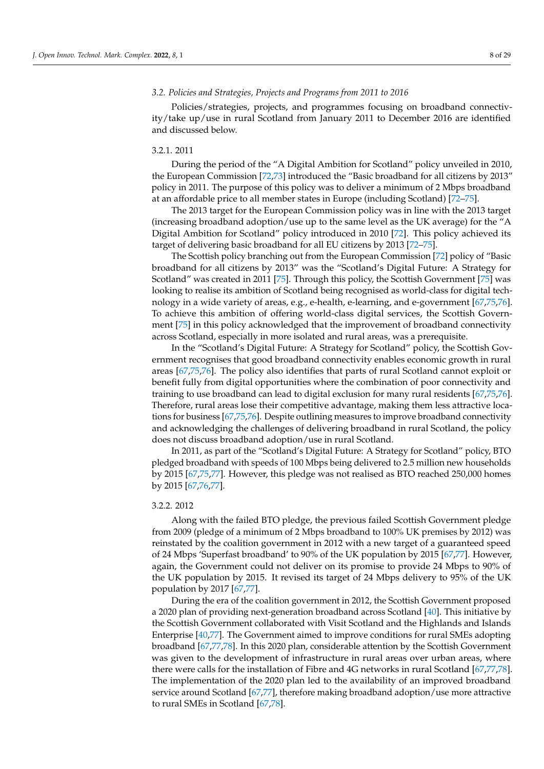### *3.2. Policies and Strategies, Projects and Programs from 2011 to 2016*

Policies/strategies, projects, and programmes focusing on broadband connectivity/take up/use in rural Scotland from January 2011 to December 2016 are identified and discussed below.

### 3.2.1. 2011

During the period of the "A Digital Ambition for Scotland" policy unveiled in 2010, the European Commission [\[72,](#page-26-25)[73\]](#page-26-26) introduced the "Basic broadband for all citizens by 2013" policy in 2011. The purpose of this policy was to deliver a minimum of 2 Mbps broadband at an affordable price to all member states in Europe (including Scotland) [\[72](#page-26-25)[–75\]](#page-27-0).

The 2013 target for the European Commission policy was in line with the 2013 target (increasing broadband adoption/use up to the same level as the UK average) for the "A Digital Ambition for Scotland" policy introduced in 2010 [\[72\]](#page-26-25). This policy achieved its target of delivering basic broadband for all EU citizens by 2013 [\[72](#page-26-25)[–75\]](#page-27-0).

The Scottish policy branching out from the European Commission [\[72\]](#page-26-25) policy of "Basic broadband for all citizens by 2013" was the "Scotland's Digital Future: A Strategy for Scotland" was created in 2011 [\[75\]](#page-27-0). Through this policy, the Scottish Government [\[75\]](#page-27-0) was looking to realise its ambition of Scotland being recognised as world-class for digital technology in a wide variety of areas, e.g., e-health, e-learning, and e-government [\[67,](#page-26-27)[75,](#page-27-0)[76\]](#page-27-1). To achieve this ambition of offering world-class digital services, the Scottish Government [\[75\]](#page-27-0) in this policy acknowledged that the improvement of broadband connectivity across Scotland, especially in more isolated and rural areas, was a prerequisite.

In the "Scotland's Digital Future: A Strategy for Scotland" policy, the Scottish Government recognises that good broadband connectivity enables economic growth in rural areas [\[67](#page-26-27)[,75](#page-27-0)[,76\]](#page-27-1). The policy also identifies that parts of rural Scotland cannot exploit or benefit fully from digital opportunities where the combination of poor connectivity and training to use broadband can lead to digital exclusion for many rural residents [\[67](#page-26-27)[,75](#page-27-0)[,76\]](#page-27-1). Therefore, rural areas lose their competitive advantage, making them less attractive locations for business [\[67](#page-26-27)[,75](#page-27-0)[,76\]](#page-27-1). Despite outlining measures to improve broadband connectivity and acknowledging the challenges of delivering broadband in rural Scotland, the policy does not discuss broadband adoption/use in rural Scotland.

In 2011, as part of the "Scotland's Digital Future: A Strategy for Scotland" policy, BTO pledged broadband with speeds of 100 Mbps being delivered to 2.5 million new households by 2015 [\[67,](#page-26-27)[75,](#page-27-0)[77\]](#page-27-2). However, this pledge was not realised as BTO reached 250,000 homes by 2015 [\[67,](#page-26-27)[76,](#page-27-1)[77\]](#page-27-2).

### 3.2.2. 2012

Along with the failed BTO pledge, the previous failed Scottish Government pledge from 2009 (pledge of a minimum of 2 Mbps broadband to 100% UK premises by 2012) was reinstated by the coalition government in 2012 with a new target of a guaranteed speed of 24 Mbps 'Superfast broadband' to 90% of the UK population by 2015 [\[67,](#page-26-27)[77\]](#page-27-2). However, again, the Government could not deliver on its promise to provide 24 Mbps to 90% of the UK population by 2015. It revised its target of 24 Mbps delivery to 95% of the UK population by 2017 [\[67,](#page-26-27)[77\]](#page-27-2).

During the era of the coalition government in 2012, the Scottish Government proposed a 2020 plan of providing next-generation broadband across Scotland [\[40\]](#page-25-20). This initiative by the Scottish Government collaborated with Visit Scotland and the Highlands and Islands Enterprise [\[40](#page-25-20)[,77\]](#page-27-2). The Government aimed to improve conditions for rural SMEs adopting broadband [\[67,](#page-26-27)[77](#page-27-2)[,78\]](#page-27-3). In this 2020 plan, considerable attention by the Scottish Government was given to the development of infrastructure in rural areas over urban areas, where there were calls for the installation of Fibre and 4G networks in rural Scotland [\[67,](#page-26-27)[77,](#page-27-2)[78\]](#page-27-3). The implementation of the 2020 plan led to the availability of an improved broadband service around Scotland [\[67,](#page-26-27)[77\]](#page-27-2), therefore making broadband adoption/use more attractive to rural SMEs in Scotland [\[67](#page-26-27)[,78\]](#page-27-3).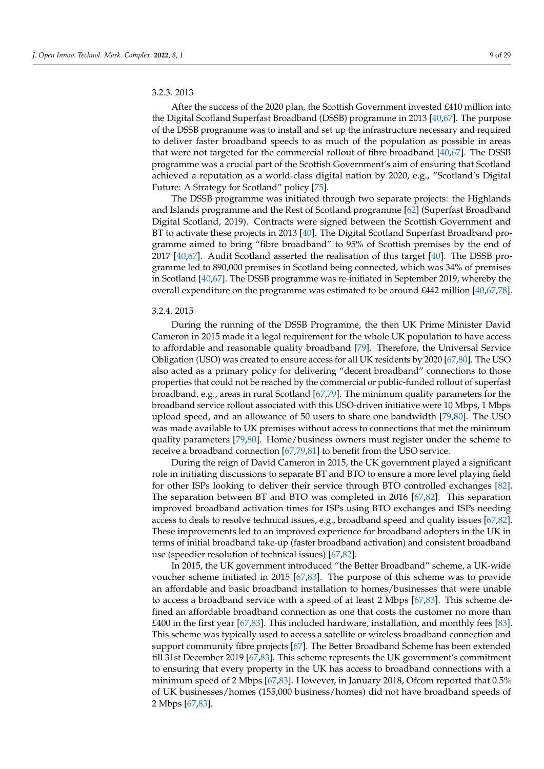### 3.2.3. 2013

After the success of the 2020 plan, the Scottish Government invested £410 million into the Digital Scotland Superfast Broadband (DSSB) programme in 2013 [\[40,](#page-25-20)[67\]](#page-26-27). The purpose of the DSSB programme was to install and set up the infrastructure necessary and required to deliver faster broadband speeds to as much of the population as possible in areas that were not targeted for the commercial rollout of fibre broadband [\[40,](#page-25-20)[67\]](#page-26-27). The DSSB programme was a crucial part of the Scottish Government's aim of ensuring that Scotland achieved a reputation as a world-class digital nation by 2020, e.g., "Scotland's Digital Future: A Strategy for Scotland" policy [\[75\]](#page-27-0).

The DSSB programme was initiated through two separate projects: the Highlands and Islands programme and the Rest of Scotland programme [\[62\]](#page-26-16) (Superfast Broadband Digital Scotland, 2019). Contracts were signed between the Scottish Government and BT to activate these projects in 2013 [\[40\]](#page-25-20). The Digital Scotland Superfast Broadband programme aimed to bring "fibre broadband" to 95% of Scottish premises by the end of 2017 [\[40](#page-25-20)[,67\]](#page-26-27). Audit Scotland asserted the realisation of this target [\[40\]](#page-25-20). The DSSB programme led to 890,000 premises in Scotland being connected, which was 34% of premises in Scotland [\[40,](#page-25-20)[67\]](#page-26-27). The DSSB programme was re-initiated in September 2019, whereby the overall expenditure on the programme was estimated to be around £442 million [\[40](#page-25-20)[,67,](#page-26-27)[78\]](#page-27-3).

### 3.2.4. 2015

During the running of the DSSB Programme, the then UK Prime Minister David Cameron in 2015 made it a legal requirement for the whole UK population to have access to affordable and reasonable quality broadband [\[79\]](#page-27-4). Therefore, the Universal Service Obligation (USO) was created to ensure access for all UK residents by 2020 [\[67](#page-26-27)[,80\]](#page-27-5). The USO also acted as a primary policy for delivering "decent broadband" connections to those properties that could not be reached by the commercial or public-funded rollout of superfast broadband, e.g., areas in rural Scotland [\[67](#page-26-27)[,79\]](#page-27-4). The minimum quality parameters for the broadband service rollout associated with this USO-driven initiative were 10 Mbps, 1 Mbps upload speed, and an allowance of 50 users to share one bandwidth [\[79](#page-27-4)[,80\]](#page-27-5). The USO was made available to UK premises without access to connections that met the minimum quality parameters [\[79,](#page-27-4)[80\]](#page-27-5). Home/business owners must register under the scheme to receive a broadband connection [\[67](#page-26-27)[,79](#page-27-4)[,81\]](#page-27-6) to benefit from the USO service.

During the reign of David Cameron in 2015, the UK government played a significant role in initiating discussions to separate BT and BTO to ensure a more level playing field for other ISPs looking to deliver their service through BTO controlled exchanges [\[82\]](#page-27-7). The separation between BT and BTO was completed in 2016 [\[67,](#page-26-27)[82\]](#page-27-7). This separation improved broadband activation times for ISPs using BTO exchanges and ISPs needing access to deals to resolve technical issues, e.g., broadband speed and quality issues [\[67](#page-26-27)[,82\]](#page-27-7). These improvements led to an improved experience for broadband adopters in the UK in terms of initial broadband take-up (faster broadband activation) and consistent broadband use (speedier resolution of technical issues) [\[67,](#page-26-27)[82\]](#page-27-7).

In 2015, the UK government introduced "the Better Broadband" scheme, a UK-wide voucher scheme initiated in 2015 [\[67](#page-26-27)[,83\]](#page-27-8). The purpose of this scheme was to provide an affordable and basic broadband installation to homes/businesses that were unable to access a broadband service with a speed of at least 2 Mbps [\[67,](#page-26-27)[83\]](#page-27-8). This scheme defined an affordable broadband connection as one that costs the customer no more than  $£400$  in the first year [\[67,](#page-26-27)[83\]](#page-27-8). This included hardware, installation, and monthly fees [\[83\]](#page-27-8). This scheme was typically used to access a satellite or wireless broadband connection and support community fibre projects [\[67\]](#page-26-27). The Better Broadband Scheme has been extended till 31st December 2019 [\[67,](#page-26-27)[83\]](#page-27-8). This scheme represents the UK government's commitment to ensuring that every property in the UK has access to broadband connections with a minimum speed of 2 Mbps [\[67](#page-26-27)[,83\]](#page-27-8). However, in January 2018, Ofcom reported that 0.5% of UK businesses/homes (155,000 business/homes) did not have broadband speeds of 2 Mbps [\[67](#page-26-27)[,83\]](#page-27-8).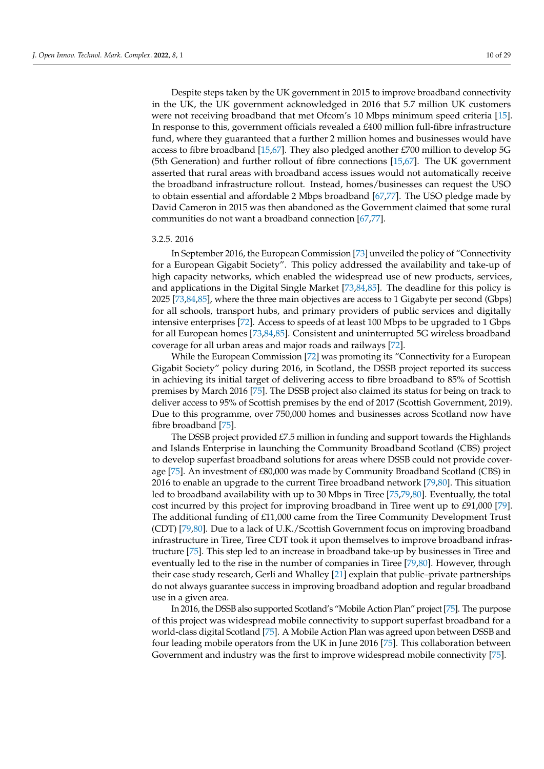Despite steps taken by the UK government in 2015 to improve broadband connectivity in the UK, the UK government acknowledged in 2016 that 5.7 million UK customers were not receiving broadband that met Ofcom's 10 Mbps minimum speed criteria [\[15\]](#page-24-14). In response to this, government officials revealed a £400 million full-fibre infrastructure fund, where they guaranteed that a further 2 million homes and businesses would have access to fibre broadband [\[15,](#page-24-14)[67\]](#page-26-27). They also pledged another £700 million to develop 5G (5th Generation) and further rollout of fibre connections [\[15,](#page-24-14)[67\]](#page-26-27). The UK government asserted that rural areas with broadband access issues would not automatically receive the broadband infrastructure rollout. Instead, homes/businesses can request the USO to obtain essential and affordable 2 Mbps broadband [\[67](#page-26-27)[,77\]](#page-27-2). The USO pledge made by David Cameron in 2015 was then abandoned as the Government claimed that some rural communities do not want a broadband connection [\[67](#page-26-27)[,77\]](#page-27-2).

### 3.2.5. 2016

In September 2016, the European Commission [\[73\]](#page-26-26) unveiled the policy of "Connectivity for a European Gigabit Society". This policy addressed the availability and take-up of high capacity networks, which enabled the widespread use of new products, services, and applications in the Digital Single Market [\[73](#page-26-26)[,84](#page-27-9)[,85\]](#page-27-10). The deadline for this policy is 2025 [\[73](#page-26-26)[,84,](#page-27-9)[85\]](#page-27-10), where the three main objectives are access to 1 Gigabyte per second (Gbps) for all schools, transport hubs, and primary providers of public services and digitally intensive enterprises [\[72\]](#page-26-25). Access to speeds of at least 100 Mbps to be upgraded to 1 Gbps for all European homes [\[73,](#page-26-26)[84,](#page-27-9)[85\]](#page-27-10). Consistent and uninterrupted 5G wireless broadband coverage for all urban areas and major roads and railways [\[72\]](#page-26-25).

While the European Commission [\[72\]](#page-26-25) was promoting its "Connectivity for a European Gigabit Society" policy during 2016, in Scotland, the DSSB project reported its success in achieving its initial target of delivering access to fibre broadband to 85% of Scottish premises by March 2016 [\[75\]](#page-27-0). The DSSB project also claimed its status for being on track to deliver access to 95% of Scottish premises by the end of 2017 (Scottish Government, 2019). Due to this programme, over 750,000 homes and businesses across Scotland now have fibre broadband [\[75\]](#page-27-0).

The DSSB project provided £7.5 million in funding and support towards the Highlands and Islands Enterprise in launching the Community Broadband Scotland (CBS) project to develop superfast broadband solutions for areas where DSSB could not provide coverage [\[75\]](#page-27-0). An investment of £80,000 was made by Community Broadband Scotland (CBS) in 2016 to enable an upgrade to the current Tiree broadband network [\[79](#page-27-4)[,80\]](#page-27-5). This situation led to broadband availability with up to 30 Mbps in Tiree [\[75](#page-27-0)[,79](#page-27-4)[,80\]](#page-27-5). Eventually, the total cost incurred by this project for improving broadband in Tiree went up to £91,000 [\[79\]](#page-27-4). The additional funding of £11,000 came from the Tiree Community Development Trust (CDT) [\[79](#page-27-4)[,80\]](#page-27-5). Due to a lack of U.K./Scottish Government focus on improving broadband infrastructure in Tiree, Tiree CDT took it upon themselves to improve broadband infrastructure [\[75\]](#page-27-0). This step led to an increase in broadband take-up by businesses in Tiree and eventually led to the rise in the number of companies in Tiree [\[79,](#page-27-4)[80\]](#page-27-5). However, through their case study research, Gerli and Whalley [\[21\]](#page-25-4) explain that public–private partnerships do not always guarantee success in improving broadband adoption and regular broadband use in a given area.

In 2016, the DSSB also supported Scotland's "Mobile Action Plan" project [\[75\]](#page-27-0). The purpose of this project was widespread mobile connectivity to support superfast broadband for a world-class digital Scotland [\[75\]](#page-27-0). A Mobile Action Plan was agreed upon between DSSB and four leading mobile operators from the UK in June 2016 [\[75\]](#page-27-0). This collaboration between Government and industry was the first to improve widespread mobile connectivity [\[75\]](#page-27-0).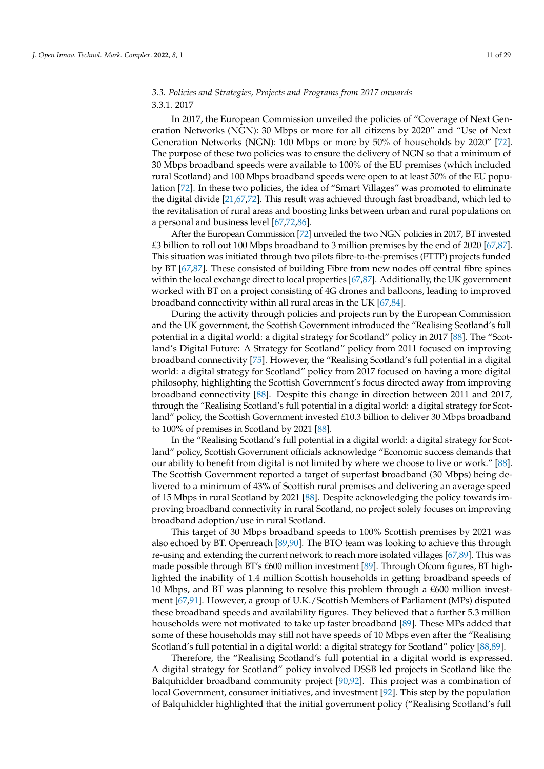### *3.3. Policies and Strategies, Projects and Programs from 2017 onwards* 3.3.1. 2017

In 2017, the European Commission unveiled the policies of "Coverage of Next Generation Networks (NGN): 30 Mbps or more for all citizens by 2020" and "Use of Next Generation Networks (NGN): 100 Mbps or more by 50% of households by 2020" [\[72\]](#page-26-25). The purpose of these two policies was to ensure the delivery of NGN so that a minimum of 30 Mbps broadband speeds were available to 100% of the EU premises (which included rural Scotland) and 100 Mbps broadband speeds were open to at least 50% of the EU population [\[72\]](#page-26-25). In these two policies, the idea of "Smart Villages" was promoted to eliminate the digital divide [\[21,](#page-25-4)[67,](#page-26-27)[72\]](#page-26-25). This result was achieved through fast broadband, which led to the revitalisation of rural areas and boosting links between urban and rural populations on a personal and business level [\[67,](#page-26-27)[72,](#page-26-25)[86\]](#page-27-11).

After the European Commission [\[72\]](#page-26-25) unveiled the two NGN policies in 2017, BT invested £3 billion to roll out 100 Mbps broadband to 3 million premises by the end of 2020 [\[67,](#page-26-27)[87\]](#page-27-12). This situation was initiated through two pilots fibre-to-the-premises (FTTP) projects funded by BT [\[67](#page-26-27)[,87\]](#page-27-12). These consisted of building Fibre from new nodes off central fibre spines within the local exchange direct to local properties [\[67,](#page-26-27)[87\]](#page-27-12). Additionally, the UK government worked with BT on a project consisting of 4G drones and balloons, leading to improved broadband connectivity within all rural areas in the UK [\[67](#page-26-27)[,84\]](#page-27-9).

During the activity through policies and projects run by the European Commission and the UK government, the Scottish Government introduced the "Realising Scotland's full potential in a digital world: a digital strategy for Scotland" policy in 2017 [\[88\]](#page-27-13). The "Scotland's Digital Future: A Strategy for Scotland" policy from 2011 focused on improving broadband connectivity [\[75\]](#page-27-0). However, the "Realising Scotland's full potential in a digital world: a digital strategy for Scotland" policy from 2017 focused on having a more digital philosophy, highlighting the Scottish Government's focus directed away from improving broadband connectivity [\[88\]](#page-27-13). Despite this change in direction between 2011 and 2017, through the "Realising Scotland's full potential in a digital world: a digital strategy for Scotland" policy, the Scottish Government invested £10.3 billion to deliver 30 Mbps broadband to 100% of premises in Scotland by 2021 [\[88\]](#page-27-13).

In the "Realising Scotland's full potential in a digital world: a digital strategy for Scotland" policy, Scottish Government officials acknowledge "Economic success demands that our ability to benefit from digital is not limited by where we choose to live or work." [\[88\]](#page-27-13). The Scottish Government reported a target of superfast broadband (30 Mbps) being delivered to a minimum of 43% of Scottish rural premises and delivering an average speed of 15 Mbps in rural Scotland by 2021 [\[88\]](#page-27-13). Despite acknowledging the policy towards improving broadband connectivity in rural Scotland, no project solely focuses on improving broadband adoption/use in rural Scotland.

This target of 30 Mbps broadband speeds to 100% Scottish premises by 2021 was also echoed by BT. Openreach [\[89](#page-27-14)[,90\]](#page-27-15). The BTO team was looking to achieve this through re-using and extending the current network to reach more isolated villages [\[67](#page-26-27)[,89\]](#page-27-14). This was made possible through BT's £600 million investment [\[89\]](#page-27-14). Through Ofcom figures, BT highlighted the inability of 1.4 million Scottish households in getting broadband speeds of 10 Mbps, and BT was planning to resolve this problem through a £600 million investment [\[67](#page-26-27)[,91\]](#page-27-16). However, a group of U.K./Scottish Members of Parliament (MPs) disputed these broadband speeds and availability figures. They believed that a further 5.3 million households were not motivated to take up faster broadband [\[89\]](#page-27-14). These MPs added that some of these households may still not have speeds of 10 Mbps even after the "Realising Scotland's full potential in a digital world: a digital strategy for Scotland" policy [\[88,](#page-27-13)[89\]](#page-27-14).

Therefore, the "Realising Scotland's full potential in a digital world is expressed. A digital strategy for Scotland" policy involved DSSB led projects in Scotland like the Balquhidder broadband community project [\[90](#page-27-15)[,92\]](#page-27-17). This project was a combination of local Government, consumer initiatives, and investment [\[92\]](#page-27-17). This step by the population of Balquhidder highlighted that the initial government policy ("Realising Scotland's full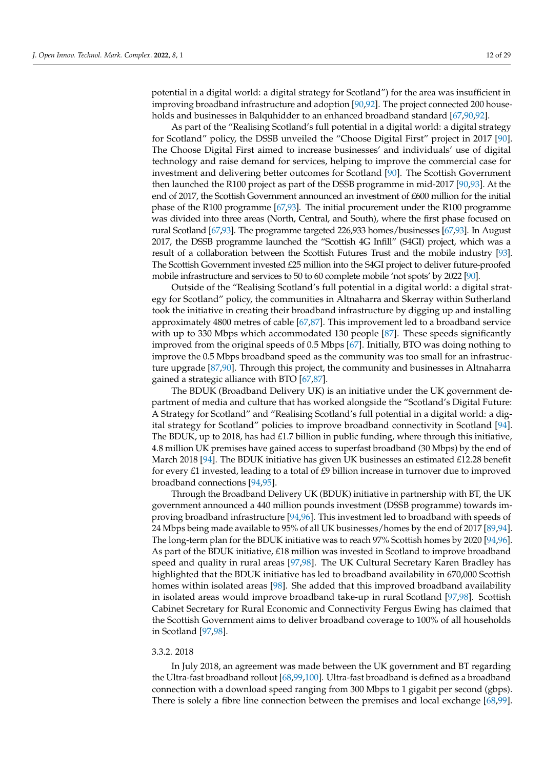potential in a digital world: a digital strategy for Scotland") for the area was insufficient in improving broadband infrastructure and adoption [\[90,](#page-27-15)[92\]](#page-27-17). The project connected 200 households and businesses in Balquhidder to an enhanced broadband standard [\[67,](#page-26-27)[90,](#page-27-15)[92\]](#page-27-17).

As part of the "Realising Scotland's full potential in a digital world: a digital strategy for Scotland" policy, the DSSB unveiled the "Choose Digital First" project in 2017 [\[90\]](#page-27-15). The Choose Digital First aimed to increase businesses' and individuals' use of digital technology and raise demand for services, helping to improve the commercial case for investment and delivering better outcomes for Scotland [\[90\]](#page-27-15). The Scottish Government then launched the R100 project as part of the DSSB programme in mid-2017 [\[90,](#page-27-15)[93\]](#page-27-18). At the end of 2017, the Scottish Government announced an investment of £600 million for the initial phase of the R100 programme [\[67](#page-26-27)[,93\]](#page-27-18). The initial procurement under the R100 programme was divided into three areas (North, Central, and South), where the first phase focused on rural Scotland [\[67](#page-26-27)[,93\]](#page-27-18). The programme targeted 226,933 homes/businesses [\[67,](#page-26-27)[93\]](#page-27-18). In August 2017, the DSSB programme launched the "Scottish 4G Infill" (S4GI) project, which was a result of a collaboration between the Scottish Futures Trust and the mobile industry [\[93\]](#page-27-18). The Scottish Government invested £25 million into the S4GI project to deliver future-proofed mobile infrastructure and services to 50 to 60 complete mobile 'not spots' by 2022 [\[90\]](#page-27-15).

Outside of the "Realising Scotland's full potential in a digital world: a digital strategy for Scotland" policy, the communities in Altnaharra and Skerray within Sutherland took the initiative in creating their broadband infrastructure by digging up and installing approximately 4800 metres of cable [\[67,](#page-26-27)[87\]](#page-27-12). This improvement led to a broadband service with up to 330 Mbps which accommodated 130 people [\[87\]](#page-27-12). These speeds significantly improved from the original speeds of 0.5 Mbps [\[67\]](#page-26-27). Initially, BTO was doing nothing to improve the 0.5 Mbps broadband speed as the community was too small for an infrastructure upgrade [\[87](#page-27-12)[,90\]](#page-27-15). Through this project, the community and businesses in Altnaharra gained a strategic alliance with BTO [\[67,](#page-26-27)[87\]](#page-27-12).

The BDUK (Broadband Delivery UK) is an initiative under the UK government department of media and culture that has worked alongside the "Scotland's Digital Future: A Strategy for Scotland" and "Realising Scotland's full potential in a digital world: a digital strategy for Scotland" policies to improve broadband connectivity in Scotland [\[94\]](#page-27-19). The BDUK, up to 2018, has had  $£1.7$  billion in public funding, where through this initiative, 4.8 million UK premises have gained access to superfast broadband (30 Mbps) by the end of March 2018 [\[94\]](#page-27-19). The BDUK initiative has given UK businesses an estimated £12.28 benefit for every £1 invested, leading to a total of  $E9$  billion increase in turnover due to improved broadband connections [\[94,](#page-27-19)[95\]](#page-27-20).

Through the Broadband Delivery UK (BDUK) initiative in partnership with BT, the UK government announced a 440 million pounds investment (DSSB programme) towards improving broadband infrastructure [\[94](#page-27-19)[,96\]](#page-27-21). This investment led to broadband with speeds of 24 Mbps being made available to 95% of all UK businesses/homes by the end of 2017 [\[89](#page-27-14)[,94\]](#page-27-19). The long-term plan for the BDUK initiative was to reach 97% Scottish homes by 2020 [\[94](#page-27-19)[,96\]](#page-27-21). As part of the BDUK initiative, £18 million was invested in Scotland to improve broadband speed and quality in rural areas [\[97,](#page-27-22)[98\]](#page-27-23). The UK Cultural Secretary Karen Bradley has highlighted that the BDUK initiative has led to broadband availability in 670,000 Scottish homes within isolated areas [\[98\]](#page-27-23). She added that this improved broadband availability in isolated areas would improve broadband take-up in rural Scotland [\[97](#page-27-22)[,98\]](#page-27-23). Scottish Cabinet Secretary for Rural Economic and Connectivity Fergus Ewing has claimed that the Scottish Government aims to deliver broadband coverage to 100% of all households in Scotland [\[97](#page-27-22)[,98\]](#page-27-23).

### 3.3.2. 2018

In July 2018, an agreement was made between the UK government and BT regarding the Ultra-fast broadband rollout [\[68](#page-26-21)[,99](#page-27-24)[,100\]](#page-27-25). Ultra-fast broadband is defined as a broadband connection with a download speed ranging from 300 Mbps to 1 gigabit per second (gbps). There is solely a fibre line connection between the premises and local exchange [\[68,](#page-26-21)[99\]](#page-27-24).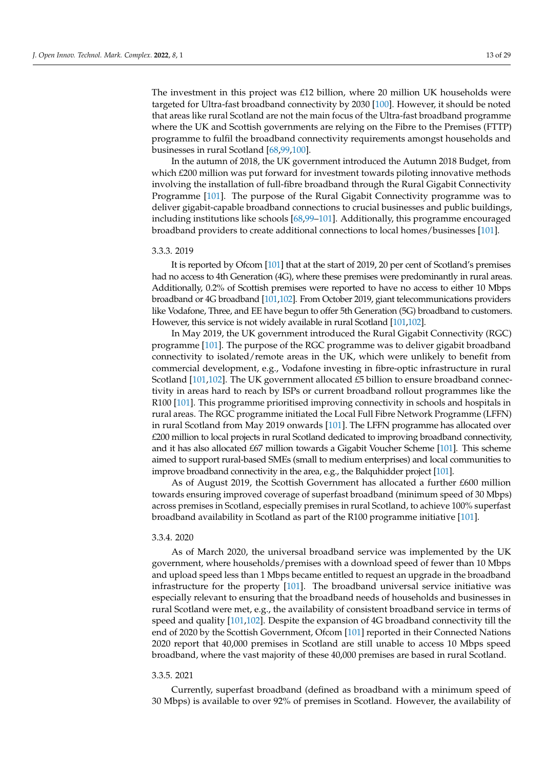The investment in this project was £12 billion, where 20 million UK households were targeted for Ultra-fast broadband connectivity by 2030 [\[100\]](#page-27-25). However, it should be noted that areas like rural Scotland are not the main focus of the Ultra-fast broadband programme where the UK and Scottish governments are relying on the Fibre to the Premises (FTTP) programme to fulfil the broadband connectivity requirements amongst households and businesses in rural Scotland [\[68](#page-26-21)[,99,](#page-27-24)[100\]](#page-27-25).

In the autumn of 2018, the UK government introduced the Autumn 2018 Budget, from which £200 million was put forward for investment towards piloting innovative methods involving the installation of full-fibre broadband through the Rural Gigabit Connectivity Programme [\[101\]](#page-28-0). The purpose of the Rural Gigabit Connectivity programme was to deliver gigabit-capable broadband connections to crucial businesses and public buildings, including institutions like schools [\[68](#page-26-21)[,99–](#page-27-24)[101\]](#page-28-0). Additionally, this programme encouraged broadband providers to create additional connections to local homes/businesses [\[101\]](#page-28-0).

### 3.3.3. 2019

It is reported by Ofcom [\[101\]](#page-28-0) that at the start of 2019, 20 per cent of Scotland's premises had no access to 4th Generation (4G), where these premises were predominantly in rural areas. Additionally, 0.2% of Scottish premises were reported to have no access to either 10 Mbps broadband or 4G broadband [\[101,](#page-28-0)[102\]](#page-28-1). From October 2019, giant telecommunications providers like Vodafone, Three, and EE have begun to offer 5th Generation (5G) broadband to customers. However, this service is not widely available in rural Scotland [\[101](#page-28-0)[,102\]](#page-28-1).

In May 2019, the UK government introduced the Rural Gigabit Connectivity (RGC) programme [\[101\]](#page-28-0). The purpose of the RGC programme was to deliver gigabit broadband connectivity to isolated/remote areas in the UK, which were unlikely to benefit from commercial development, e.g., Vodafone investing in fibre-optic infrastructure in rural Scotland  $[101,102]$  $[101,102]$ . The UK government allocated £5 billion to ensure broadband connectivity in areas hard to reach by ISPs or current broadband rollout programmes like the R100 [\[101\]](#page-28-0). This programme prioritised improving connectivity in schools and hospitals in rural areas. The RGC programme initiated the Local Full Fibre Network Programme (LFFN) in rural Scotland from May 2019 onwards [\[101\]](#page-28-0). The LFFN programme has allocated over £200 million to local projects in rural Scotland dedicated to improving broadband connectivity, and it has also allocated £67 million towards a Gigabit Voucher Scheme [\[101\]](#page-28-0). This scheme aimed to support rural-based SMEs (small to medium enterprises) and local communities to improve broadband connectivity in the area, e.g., the Balquhidder project [\[101\]](#page-28-0).

As of August 2019, the Scottish Government has allocated a further £600 million towards ensuring improved coverage of superfast broadband (minimum speed of 30 Mbps) across premises in Scotland, especially premises in rural Scotland, to achieve 100% superfast broadband availability in Scotland as part of the R100 programme initiative [\[101\]](#page-28-0).

### 3.3.4. 2020

As of March 2020, the universal broadband service was implemented by the UK government, where households/premises with a download speed of fewer than 10 Mbps and upload speed less than 1 Mbps became entitled to request an upgrade in the broadband infrastructure for the property [\[101\]](#page-28-0). The broadband universal service initiative was especially relevant to ensuring that the broadband needs of households and businesses in rural Scotland were met, e.g., the availability of consistent broadband service in terms of speed and quality [\[101,](#page-28-0)[102\]](#page-28-1). Despite the expansion of 4G broadband connectivity till the end of 2020 by the Scottish Government, Ofcom [\[101\]](#page-28-0) reported in their Connected Nations 2020 report that 40,000 premises in Scotland are still unable to access 10 Mbps speed broadband, where the vast majority of these 40,000 premises are based in rural Scotland.

### 3.3.5. 2021

Currently, superfast broadband (defined as broadband with a minimum speed of 30 Mbps) is available to over 92% of premises in Scotland. However, the availability of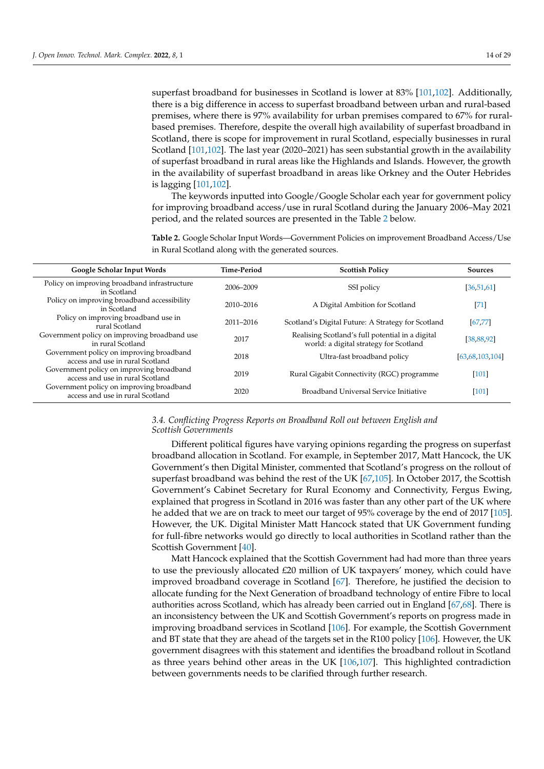superfast broadband for businesses in Scotland is lower at 83% [\[101](#page-28-0)[,102\]](#page-28-1). Additionally, there is a big difference in access to superfast broadband between urban and rural-based premises, where there is 97% availability for urban premises compared to 67% for ruralbased premises. Therefore, despite the overall high availability of superfast broadband in Scotland, there is scope for improvement in rural Scotland, especially businesses in rural Scotland [\[101,](#page-28-0)[102\]](#page-28-1). The last year (2020–2021) has seen substantial growth in the availability of superfast broadband in rural areas like the Highlands and Islands. However, the growth in the availability of superfast broadband in areas like Orkney and the Outer Hebrides is lagging [\[101](#page-28-0)[,102\]](#page-28-1).

The keywords inputted into Google/Google Scholar each year for government policy for improving broadband access/use in rural Scotland during the January 2006–May 2021 period, and the related sources are presented in the Table [2](#page-14-0) below.

<span id="page-14-0"></span>**Table 2.** Google Scholar Input Words—Government Policies on improvement Broadband Access/Use in Rural Scotland along with the generated sources.

| Google Scholar Input Words                                                   | <b>Time-Period</b> | <b>Scottish Policy</b>                                                                     | <b>Sources</b>  |
|------------------------------------------------------------------------------|--------------------|--------------------------------------------------------------------------------------------|-----------------|
| Policy on improving broadband infrastructure<br>in Scotland                  | 2006-2009          | SSI policy                                                                                 | [36, 51, 61]    |
| Policy on improving broadband accessibility<br>in Scotland                   | 2010-2016          | A Digital Ambition for Scotland                                                            | $[71]$          |
| Policy on improving broadband use in<br>rural Scotland                       | 2011-2016          | Scotland's Digital Future: A Strategy for Scotland                                         | [67, 77]        |
| Government policy on improving broadband use<br>in rural Scotland            | 2017               | Realising Scotland's full potential in a digital<br>world: a digital strategy for Scotland | [38, 88, 92]    |
| Government policy on improving broadband<br>access and use in rural Scotland | 2018               | Ultra-fast broadband policy                                                                | [63,68,103,104] |
| Government policy on improving broadband<br>access and use in rural Scotland | 2019               | Rural Gigabit Connectivity (RGC) programme                                                 | $[101]$         |
| Government policy on improving broadband<br>access and use in rural Scotland | 2020               | Broadband Universal Service Initiative                                                     | [101]           |

### *3.4. Conflicting Progress Reports on Broadband Roll out between English and Scottish Governments*

Different political figures have varying opinions regarding the progress on superfast broadband allocation in Scotland. For example, in September 2017, Matt Hancock, the UK Government's then Digital Minister, commented that Scotland's progress on the rollout of superfast broadband was behind the rest of the UK [\[67](#page-26-27)[,105\]](#page-28-4). In October 2017, the Scottish Government's Cabinet Secretary for Rural Economy and Connectivity, Fergus Ewing, explained that progress in Scotland in 2016 was faster than any other part of the UK where he added that we are on track to meet our target of 95% coverage by the end of 2017 [\[105\]](#page-28-4). However, the UK. Digital Minister Matt Hancock stated that UK Government funding for full-fibre networks would go directly to local authorities in Scotland rather than the Scottish Government [\[40\]](#page-25-20).

Matt Hancock explained that the Scottish Government had had more than three years to use the previously allocated £20 million of UK taxpayers' money, which could have improved broadband coverage in Scotland [\[67\]](#page-26-27). Therefore, he justified the decision to allocate funding for the Next Generation of broadband technology of entire Fibre to local authorities across Scotland, which has already been carried out in England [\[67](#page-26-27)[,68\]](#page-26-21). There is an inconsistency between the UK and Scottish Government's reports on progress made in improving broadband services in Scotland [\[106\]](#page-28-5). For example, the Scottish Government and BT state that they are ahead of the targets set in the R100 policy [\[106\]](#page-28-5). However, the UK government disagrees with this statement and identifies the broadband rollout in Scotland as three years behind other areas in the UK [\[106](#page-28-5)[,107\]](#page-28-6). This highlighted contradiction between governments needs to be clarified through further research.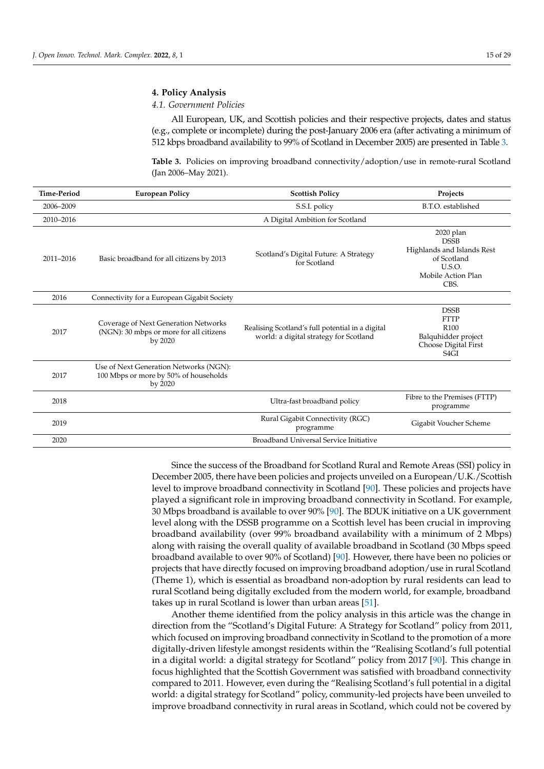### <span id="page-15-0"></span>**4. Policy Analysis**

### *4.1. Government Policies*

All European, UK, and Scottish policies and their respective projects, dates and status (e.g., complete or incomplete) during the post-January 2006 era (after activating a minimum of 512 kbps broadband availability to 99% of Scotland in December 2005) are presented in Table [3.](#page-15-1)

<span id="page-15-1"></span>**Table 3.** Policies on improving broadband connectivity/adoption/use in remote-rural Scotland (Jan 2006–May 2021).

| <b>Time-Period</b> | <b>European Policy</b>                                                                     | <b>Scottish Policy</b>                                                                     | Projects                                                                                                             |
|--------------------|--------------------------------------------------------------------------------------------|--------------------------------------------------------------------------------------------|----------------------------------------------------------------------------------------------------------------------|
| 2006-2009          |                                                                                            | S.S.I. policy                                                                              | B.T.O. established                                                                                                   |
| 2010-2016          |                                                                                            | A Digital Ambition for Scotland                                                            |                                                                                                                      |
| 2011-2016          | Basic broadband for all citizens by 2013                                                   | Scotland's Digital Future: A Strategy<br>for Scotland                                      | 2020 plan<br><b>DSSB</b><br>Highlands and Islands Rest<br>of Scotland<br><b>U.S.O.</b><br>Mobile Action Plan<br>CBS. |
| 2016               | Connectivity for a European Gigabit Society                                                |                                                                                            |                                                                                                                      |
| 2017               | Coverage of Next Generation Networks<br>(NGN): 30 mbps or more for all citizens<br>by 2020 | Realising Scotland's full potential in a digital<br>world: a digital strategy for Scotland | <b>DSSB</b><br><b>FTTP</b><br>R <sub>100</sub><br>Balquhidder project<br>Choose Digital First<br>S <sub>4</sub> GI   |
| 2017               | Use of Next Generation Networks (NGN):<br>100 Mbps or more by 50% of households<br>by 2020 |                                                                                            |                                                                                                                      |
| 2018               |                                                                                            | Ultra-fast broadband policy                                                                | Fibre to the Premises (FTTP)<br>programme                                                                            |
| 2019               |                                                                                            | Rural Gigabit Connectivity (RGC)<br>programme                                              | Gigabit Voucher Scheme                                                                                               |
| 2020               |                                                                                            | Broadband Universal Service Initiative                                                     |                                                                                                                      |

Since the success of the Broadband for Scotland Rural and Remote Areas (SSI) policy in December 2005, there have been policies and projects unveiled on a European/U.K./Scottish level to improve broadband connectivity in Scotland [\[90\]](#page-27-15). These policies and projects have played a significant role in improving broadband connectivity in Scotland. For example, 30 Mbps broadband is available to over 90% [\[90\]](#page-27-15). The BDUK initiative on a UK government level along with the DSSB programme on a Scottish level has been crucial in improving broadband availability (over 99% broadband availability with a minimum of 2 Mbps) along with raising the overall quality of available broadband in Scotland (30 Mbps speed broadband available to over 90% of Scotland) [\[90\]](#page-27-15). However, there have been no policies or projects that have directly focused on improving broadband adoption/use in rural Scotland (Theme 1), which is essential as broadband non-adoption by rural residents can lead to rural Scotland being digitally excluded from the modern world, for example, broadband takes up in rural Scotland is lower than urban areas [\[51\]](#page-26-5).

Another theme identified from the policy analysis in this article was the change in direction from the "Scotland's Digital Future: A Strategy for Scotland" policy from 2011, which focused on improving broadband connectivity in Scotland to the promotion of a more digitally-driven lifestyle amongst residents within the "Realising Scotland's full potential in a digital world: a digital strategy for Scotland" policy from 2017 [\[90\]](#page-27-15). This change in focus highlighted that the Scottish Government was satisfied with broadband connectivity compared to 2011. However, even during the "Realising Scotland's full potential in a digital world: a digital strategy for Scotland" policy, community-led projects have been unveiled to improve broadband connectivity in rural areas in Scotland, which could not be covered by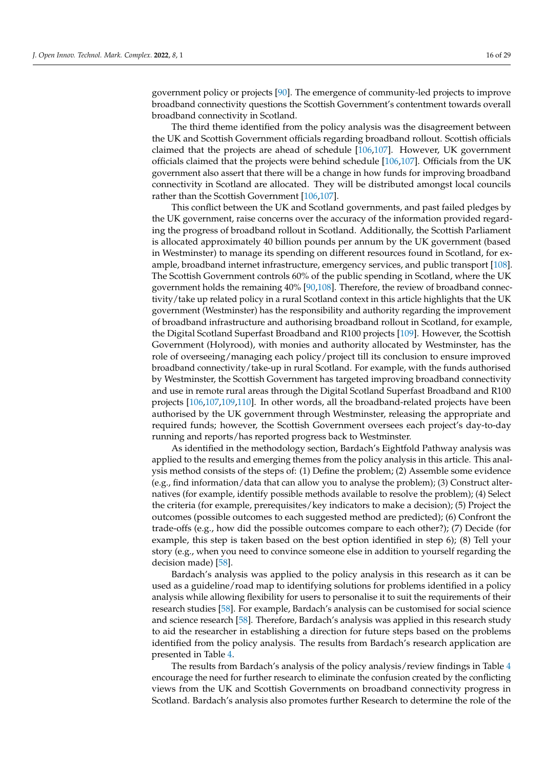government policy or projects [\[90\]](#page-27-15). The emergence of community-led projects to improve broadband connectivity questions the Scottish Government's contentment towards overall broadband connectivity in Scotland.

The third theme identified from the policy analysis was the disagreement between the UK and Scottish Government officials regarding broadband rollout. Scottish officials claimed that the projects are ahead of schedule [\[106,](#page-28-5)[107\]](#page-28-6). However, UK government officials claimed that the projects were behind schedule [\[106](#page-28-5)[,107\]](#page-28-6). Officials from the UK government also assert that there will be a change in how funds for improving broadband connectivity in Scotland are allocated. They will be distributed amongst local councils rather than the Scottish Government [\[106,](#page-28-5)[107\]](#page-28-6).

This conflict between the UK and Scotland governments, and past failed pledges by the UK government, raise concerns over the accuracy of the information provided regarding the progress of broadband rollout in Scotland. Additionally, the Scottish Parliament is allocated approximately 40 billion pounds per annum by the UK government (based in Westminster) to manage its spending on different resources found in Scotland, for example, broadband internet infrastructure, emergency services, and public transport [\[108\]](#page-28-7). The Scottish Government controls 60% of the public spending in Scotland, where the UK government holds the remaining 40% [\[90,](#page-27-15)[108\]](#page-28-7). Therefore, the review of broadband connectivity/take up related policy in a rural Scotland context in this article highlights that the UK government (Westminster) has the responsibility and authority regarding the improvement of broadband infrastructure and authorising broadband rollout in Scotland, for example, the Digital Scotland Superfast Broadband and R100 projects [\[109\]](#page-28-8). However, the Scottish Government (Holyrood), with monies and authority allocated by Westminster, has the role of overseeing/managing each policy/project till its conclusion to ensure improved broadband connectivity/take-up in rural Scotland. For example, with the funds authorised by Westminster, the Scottish Government has targeted improving broadband connectivity and use in remote rural areas through the Digital Scotland Superfast Broadband and R100 projects [\[106](#page-28-5)[,107](#page-28-6)[,109,](#page-28-8)[110\]](#page-28-9). In other words, all the broadband-related projects have been authorised by the UK government through Westminster, releasing the appropriate and required funds; however, the Scottish Government oversees each project's day-to-day running and reports/has reported progress back to Westminster.

As identified in the methodology section, Bardach's Eightfold Pathway analysis was applied to the results and emerging themes from the policy analysis in this article. This analysis method consists of the steps of: (1) Define the problem; (2) Assemble some evidence (e.g., find information/data that can allow you to analyse the problem); (3) Construct alternatives (for example, identify possible methods available to resolve the problem); (4) Select the criteria (for example, prerequisites/key indicators to make a decision); (5) Project the outcomes (possible outcomes to each suggested method are predicted); (6) Confront the trade-offs (e.g., how did the possible outcomes compare to each other?); (7) Decide (for example, this step is taken based on the best option identified in step 6); (8) Tell your story (e.g., when you need to convince someone else in addition to yourself regarding the decision made) [\[58\]](#page-26-12).

Bardach's analysis was applied to the policy analysis in this research as it can be used as a guideline/road map to identifying solutions for problems identified in a policy analysis while allowing flexibility for users to personalise it to suit the requirements of their research studies [\[58\]](#page-26-12). For example, Bardach's analysis can be customised for social science and science research [\[58\]](#page-26-12). Therefore, Bardach's analysis was applied in this research study to aid the researcher in establishing a direction for future steps based on the problems identified from the policy analysis. The results from Bardach's research application are presented in Table [4.](#page-17-0)

The results from Bardach's analysis of the policy analysis/review findings in Table [4](#page-17-0) encourage the need for further research to eliminate the confusion created by the conflicting views from the UK and Scottish Governments on broadband connectivity progress in Scotland. Bardach's analysis also promotes further Research to determine the role of the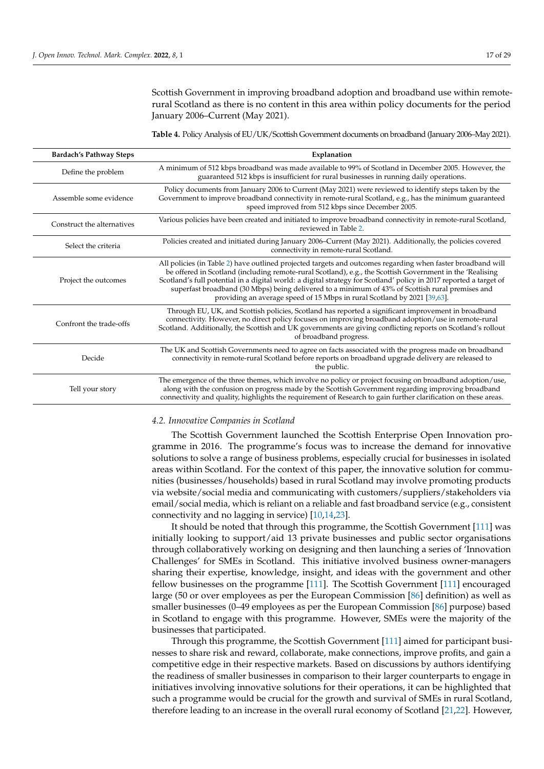Scottish Government in improving broadband adoption and broadband use within remoterural Scotland as there is no content in this area within policy documents for the period January 2006–Current (May 2021).

<span id="page-17-0"></span>**Table 4.** Policy Analysis of EU/UK/Scottish Government documents on broadband (January 2006–May 2021).

| <b>Bardach's Pathway Steps</b> | Explanation                                                                                                                                                                                                                                                                                                                                                                                                                                                                                                                    |  |
|--------------------------------|--------------------------------------------------------------------------------------------------------------------------------------------------------------------------------------------------------------------------------------------------------------------------------------------------------------------------------------------------------------------------------------------------------------------------------------------------------------------------------------------------------------------------------|--|
| Define the problem             | A minimum of 512 kbps broadband was made available to 99% of Scotland in December 2005. However, the<br>guaranteed 512 kbps is insufficient for rural businesses in running daily operations.                                                                                                                                                                                                                                                                                                                                  |  |
| Assemble some evidence         | Policy documents from January 2006 to Current (May 2021) were reviewed to identify steps taken by the<br>Government to improve broadband connectivity in remote-rural Scotland, e.g., has the minimum guaranteed<br>speed improved from 512 kbps since December 2005.                                                                                                                                                                                                                                                          |  |
| Construct the alternatives     | Various policies have been created and initiated to improve broadband connectivity in remote-rural Scotland,<br>reviewed in Table 2.                                                                                                                                                                                                                                                                                                                                                                                           |  |
| Select the criteria            | Policies created and initiated during January 2006–Current (May 2021). Additionally, the policies covered<br>connectivity in remote-rural Scotland.                                                                                                                                                                                                                                                                                                                                                                            |  |
| Project the outcomes           | All policies (in Table 2) have outlined projected targets and outcomes regarding when faster broadband will<br>be offered in Scotland (including remote-rural Scotland), e.g., the Scottish Government in the 'Realising<br>Scotland's full potential in a digital world: a digital strategy for Scotland' policy in 2017 reported a target of<br>superfast broadband (30 Mbps) being delivered to a minimum of 43% of Scottish rural premises and<br>providing an average speed of 15 Mbps in rural Scotland by 2021 [39,63]. |  |
| Confront the trade-offs        | Through EU, UK, and Scottish policies, Scotland has reported a significant improvement in broadband<br>connectivity. However, no direct policy focuses on improving broadband adoption/use in remote-rural<br>Scotland. Additionally, the Scottish and UK governments are giving conflicting reports on Scotland's rollout<br>of broadband progress.                                                                                                                                                                           |  |
| Decide                         | The UK and Scottish Governments need to agree on facts associated with the progress made on broadband<br>connectivity in remote-rural Scotland before reports on broadband upgrade delivery are released to<br>the public.                                                                                                                                                                                                                                                                                                     |  |
| Tell your story                | The emergence of the three themes, which involve no policy or project focusing on broadband adoption/use,<br>along with the confusion on progress made by the Scottish Government regarding improving broadband<br>connectivity and quality, highlights the requirement of Research to gain further clarification on these areas.                                                                                                                                                                                              |  |

### *4.2. Innovative Companies in Scotland*

The Scottish Government launched the Scottish Enterprise Open Innovation programme in 2016. The programme's focus was to increase the demand for innovative solutions to solve a range of business problems, especially crucial for businesses in isolated areas within Scotland. For the context of this paper, the innovative solution for communities (businesses/households) based in rural Scotland may involve promoting products via website/social media and communicating with customers/suppliers/stakeholders via email/social media, which is reliant on a reliable and fast broadband service (e.g., consistent connectivity and no lagging in service) [\[10,](#page-24-9)[14,](#page-24-13)[23\]](#page-25-6).

It should be noted that through this programme, the Scottish Government [\[111\]](#page-28-10) was initially looking to support/aid 13 private businesses and public sector organisations through collaboratively working on designing and then launching a series of 'Innovation Challenges' for SMEs in Scotland. This initiative involved business owner-managers sharing their expertise, knowledge, insight, and ideas with the government and other fellow businesses on the programme [\[111\]](#page-28-10). The Scottish Government [\[111\]](#page-28-10) encouraged large (50 or over employees as per the European Commission [\[86\]](#page-27-11) definition) as well as smaller businesses (0–49 employees as per the European Commission [\[86\]](#page-27-11) purpose) based in Scotland to engage with this programme. However, SMEs were the majority of the businesses that participated.

Through this programme, the Scottish Government [\[111\]](#page-28-10) aimed for participant businesses to share risk and reward, collaborate, make connections, improve profits, and gain a competitive edge in their respective markets. Based on discussions by authors identifying the readiness of smaller businesses in comparison to their larger counterparts to engage in initiatives involving innovative solutions for their operations, it can be highlighted that such a programme would be crucial for the growth and survival of SMEs in rural Scotland, therefore leading to an increase in the overall rural economy of Scotland [\[21,](#page-25-4)[22\]](#page-25-5). However,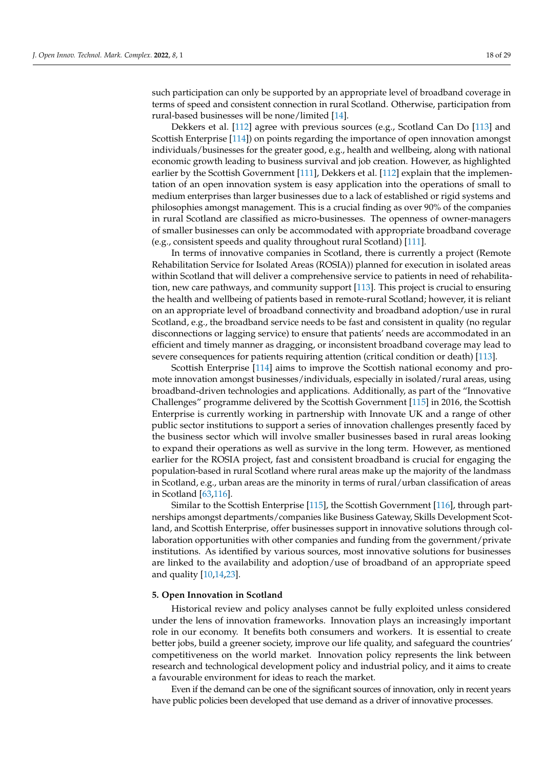such participation can only be supported by an appropriate level of broadband coverage in terms of speed and consistent connection in rural Scotland. Otherwise, participation from rural-based businesses will be none/limited [\[14\]](#page-24-13).

Dekkers et al. [\[112\]](#page-28-11) agree with previous sources (e.g., Scotland Can Do [\[113\]](#page-28-12) and Scottish Enterprise [\[114\]](#page-28-13)) on points regarding the importance of open innovation amongst individuals/businesses for the greater good, e.g., health and wellbeing, along with national economic growth leading to business survival and job creation. However, as highlighted earlier by the Scottish Government [\[111\]](#page-28-10), Dekkers et al. [\[112\]](#page-28-11) explain that the implementation of an open innovation system is easy application into the operations of small to medium enterprises than larger businesses due to a lack of established or rigid systems and philosophies amongst management. This is a crucial finding as over 90% of the companies in rural Scotland are classified as micro-businesses. The openness of owner-managers of smaller businesses can only be accommodated with appropriate broadband coverage (e.g., consistent speeds and quality throughout rural Scotland) [\[111\]](#page-28-10).

In terms of innovative companies in Scotland, there is currently a project (Remote Rehabilitation Service for Isolated Areas (ROSIA)) planned for execution in isolated areas within Scotland that will deliver a comprehensive service to patients in need of rehabilitation, new care pathways, and community support [\[113\]](#page-28-12). This project is crucial to ensuring the health and wellbeing of patients based in remote-rural Scotland; however, it is reliant on an appropriate level of broadband connectivity and broadband adoption/use in rural Scotland, e.g., the broadband service needs to be fast and consistent in quality (no regular disconnections or lagging service) to ensure that patients' needs are accommodated in an efficient and timely manner as dragging, or inconsistent broadband coverage may lead to severe consequences for patients requiring attention (critical condition or death) [\[113\]](#page-28-12).

Scottish Enterprise [\[114\]](#page-28-13) aims to improve the Scottish national economy and promote innovation amongst businesses/individuals, especially in isolated/rural areas, using broadband-driven technologies and applications. Additionally, as part of the "Innovative Challenges" programme delivered by the Scottish Government [\[115\]](#page-28-14) in 2016, the Scottish Enterprise is currently working in partnership with Innovate UK and a range of other public sector institutions to support a series of innovation challenges presently faced by the business sector which will involve smaller businesses based in rural areas looking to expand their operations as well as survive in the long term. However, as mentioned earlier for the ROSIA project, fast and consistent broadband is crucial for engaging the population-based in rural Scotland where rural areas make up the majority of the landmass in Scotland, e.g., urban areas are the minority in terms of rural/urban classification of areas in Scotland [\[63](#page-26-17)[,116\]](#page-28-15).

Similar to the Scottish Enterprise [\[115\]](#page-28-14), the Scottish Government [\[116\]](#page-28-15), through partnerships amongst departments/companies like Business Gateway, Skills Development Scotland, and Scottish Enterprise, offer businesses support in innovative solutions through collaboration opportunities with other companies and funding from the government/private institutions. As identified by various sources, most innovative solutions for businesses are linked to the availability and adoption/use of broadband of an appropriate speed and quality [\[10,](#page-24-9)[14,](#page-24-13)[23\]](#page-25-6).

### <span id="page-18-0"></span>**5. Open Innovation in Scotland**

Historical review and policy analyses cannot be fully exploited unless considered under the lens of innovation frameworks. Innovation plays an increasingly important role in our economy. It benefits both consumers and workers. It is essential to create better jobs, build a greener society, improve our life quality, and safeguard the countries' competitiveness on the world market. Innovation policy represents the link between research and technological development policy and industrial policy, and it aims to create a favourable environment for ideas to reach the market.

Even if the demand can be one of the significant sources of innovation, only in recent years have public policies been developed that use demand as a driver of innovative processes.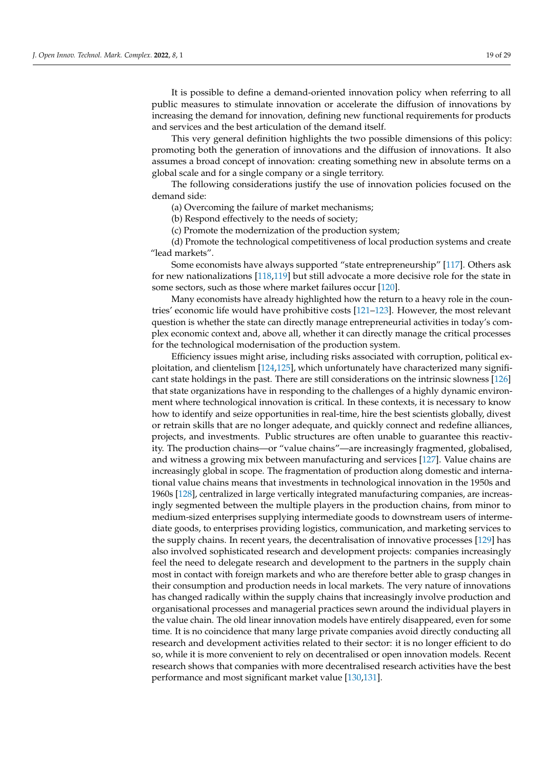It is possible to define a demand-oriented innovation policy when referring to all public measures to stimulate innovation or accelerate the diffusion of innovations by increasing the demand for innovation, defining new functional requirements for products and services and the best articulation of the demand itself.

This very general definition highlights the two possible dimensions of this policy: promoting both the generation of innovations and the diffusion of innovations. It also assumes a broad concept of innovation: creating something new in absolute terms on a global scale and for a single company or a single territory.

The following considerations justify the use of innovation policies focused on the demand side:

(a) Overcoming the failure of market mechanisms;

(b) Respond effectively to the needs of society;

(c) Promote the modernization of the production system;

(d) Promote the technological competitiveness of local production systems and create "lead markets".

Some economists have always supported "state entrepreneurship" [\[117\]](#page-28-16). Others ask for new nationalizations [\[118,](#page-28-17)[119\]](#page-28-18) but still advocate a more decisive role for the state in some sectors, such as those where market failures occur [\[120\]](#page-28-19).

Many economists have already highlighted how the return to a heavy role in the countries' economic life would have prohibitive costs [\[121](#page-28-20)[–123\]](#page-28-21). However, the most relevant question is whether the state can directly manage entrepreneurial activities in today's complex economic context and, above all, whether it can directly manage the critical processes for the technological modernisation of the production system.

Efficiency issues might arise, including risks associated with corruption, political exploitation, and clientelism [\[124,](#page-28-22)[125\]](#page-28-23), which unfortunately have characterized many significant state holdings in the past. There are still considerations on the intrinsic slowness [\[126\]](#page-28-24) that state organizations have in responding to the challenges of a highly dynamic environment where technological innovation is critical. In these contexts, it is necessary to know how to identify and seize opportunities in real-time, hire the best scientists globally, divest or retrain skills that are no longer adequate, and quickly connect and redefine alliances, projects, and investments. Public structures are often unable to guarantee this reactivity. The production chains—or "value chains"—are increasingly fragmented, globalised, and witness a growing mix between manufacturing and services [\[127\]](#page-28-25). Value chains are increasingly global in scope. The fragmentation of production along domestic and international value chains means that investments in technological innovation in the 1950s and 1960s [\[128\]](#page-28-26), centralized in large vertically integrated manufacturing companies, are increasingly segmented between the multiple players in the production chains, from minor to medium-sized enterprises supplying intermediate goods to downstream users of intermediate goods, to enterprises providing logistics, communication, and marketing services to the supply chains. In recent years, the decentralisation of innovative processes [\[129\]](#page-28-27) has also involved sophisticated research and development projects: companies increasingly feel the need to delegate research and development to the partners in the supply chain most in contact with foreign markets and who are therefore better able to grasp changes in their consumption and production needs in local markets. The very nature of innovations has changed radically within the supply chains that increasingly involve production and organisational processes and managerial practices sewn around the individual players in the value chain. The old linear innovation models have entirely disappeared, even for some time. It is no coincidence that many large private companies avoid directly conducting all research and development activities related to their sector: it is no longer efficient to do so, while it is more convenient to rely on decentralised or open innovation models. Recent research shows that companies with more decentralised research activities have the best performance and most significant market value [\[130](#page-28-28)[,131\]](#page-29-0).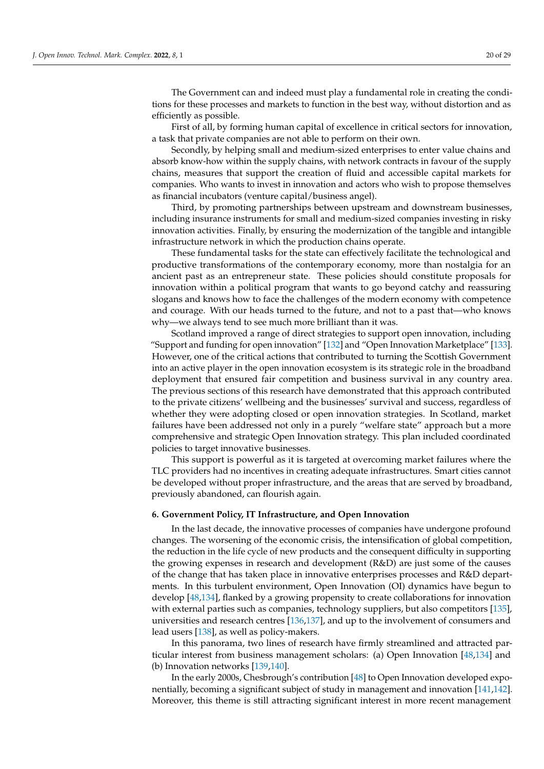The Government can and indeed must play a fundamental role in creating the conditions for these processes and markets to function in the best way, without distortion and as efficiently as possible.

First of all, by forming human capital of excellence in critical sectors for innovation, a task that private companies are not able to perform on their own.

Secondly, by helping small and medium-sized enterprises to enter value chains and absorb know-how within the supply chains, with network contracts in favour of the supply chains, measures that support the creation of fluid and accessible capital markets for companies. Who wants to invest in innovation and actors who wish to propose themselves as financial incubators (venture capital/business angel).

Third, by promoting partnerships between upstream and downstream businesses, including insurance instruments for small and medium-sized companies investing in risky innovation activities. Finally, by ensuring the modernization of the tangible and intangible infrastructure network in which the production chains operate.

These fundamental tasks for the state can effectively facilitate the technological and productive transformations of the contemporary economy, more than nostalgia for an ancient past as an entrepreneur state. These policies should constitute proposals for innovation within a political program that wants to go beyond catchy and reassuring slogans and knows how to face the challenges of the modern economy with competence and courage. With our heads turned to the future, and not to a past that—who knows why—we always tend to see much more brilliant than it was.

Scotland improved a range of direct strategies to support open innovation, including "Support and funding for open innovation" [\[132\]](#page-29-1) and "Open Innovation Marketplace" [\[133\]](#page-29-2). However, one of the critical actions that contributed to turning the Scottish Government into an active player in the open innovation ecosystem is its strategic role in the broadband deployment that ensured fair competition and business survival in any country area. The previous sections of this research have demonstrated that this approach contributed to the private citizens' wellbeing and the businesses' survival and success, regardless of whether they were adopting closed or open innovation strategies. In Scotland, market failures have been addressed not only in a purely "welfare state" approach but a more comprehensive and strategic Open Innovation strategy. This plan included coordinated policies to target innovative businesses.

This support is powerful as it is targeted at overcoming market failures where the TLC providers had no incentives in creating adequate infrastructures. Smart cities cannot be developed without proper infrastructure, and the areas that are served by broadband, previously abandoned, can flourish again.

### <span id="page-20-0"></span>**6. Government Policy, IT Infrastructure, and Open Innovation**

In the last decade, the innovative processes of companies have undergone profound changes. The worsening of the economic crisis, the intensification of global competition, the reduction in the life cycle of new products and the consequent difficulty in supporting the growing expenses in research and development (R&D) are just some of the causes of the change that has taken place in innovative enterprises processes and R&D departments. In this turbulent environment, Open Innovation (OI) dynamics have begun to develop [\[48](#page-26-2)[,134\]](#page-29-3), flanked by a growing propensity to create collaborations for innovation with external parties such as companies, technology suppliers, but also competitors [\[135\]](#page-29-4), universities and research centres [\[136,](#page-29-5)[137\]](#page-29-6), and up to the involvement of consumers and lead users [\[138\]](#page-29-7), as well as policy-makers.

In this panorama, two lines of research have firmly streamlined and attracted particular interest from business management scholars: (a) Open Innovation [\[48](#page-26-2)[,134\]](#page-29-3) and (b) Innovation networks [\[139,](#page-29-8)[140\]](#page-29-9).

In the early 2000s, Chesbrough's contribution [\[48\]](#page-26-2) to Open Innovation developed exponentially, becoming a significant subject of study in management and innovation [\[141](#page-29-10)[,142\]](#page-29-11). Moreover, this theme is still attracting significant interest in more recent management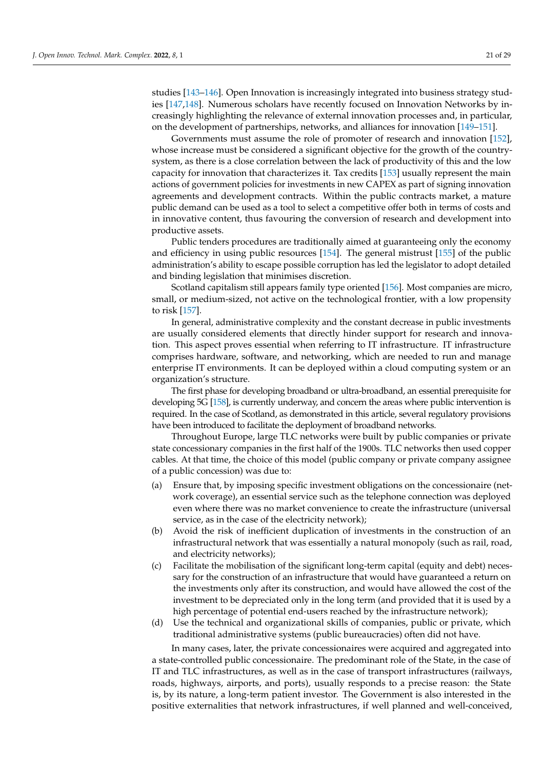studies [\[143–](#page-29-12)[146\]](#page-29-13). Open Innovation is increasingly integrated into business strategy studies [\[147](#page-29-14)[,148\]](#page-29-15). Numerous scholars have recently focused on Innovation Networks by increasingly highlighting the relevance of external innovation processes and, in particular, on the development of partnerships, networks, and alliances for innovation [\[149–](#page-29-16)[151\]](#page-29-17).

Governments must assume the role of promoter of research and innovation [\[152\]](#page-29-18), whose increase must be considered a significant objective for the growth of the countrysystem, as there is a close correlation between the lack of productivity of this and the low capacity for innovation that characterizes it. Tax credits [\[153\]](#page-29-19) usually represent the main actions of government policies for investments in new CAPEX as part of signing innovation agreements and development contracts. Within the public contracts market, a mature public demand can be used as a tool to select a competitive offer both in terms of costs and in innovative content, thus favouring the conversion of research and development into productive assets.

Public tenders procedures are traditionally aimed at guaranteeing only the economy and efficiency in using public resources [\[154\]](#page-29-20). The general mistrust [\[155\]](#page-29-21) of the public administration's ability to escape possible corruption has led the legislator to adopt detailed and binding legislation that minimises discretion.

Scotland capitalism still appears family type oriented [\[156\]](#page-29-22). Most companies are micro, small, or medium-sized, not active on the technological frontier, with a low propensity to risk [\[157\]](#page-29-23).

In general, administrative complexity and the constant decrease in public investments are usually considered elements that directly hinder support for research and innovation. This aspect proves essential when referring to IT infrastructure. IT infrastructure comprises hardware, software, and networking, which are needed to run and manage enterprise IT environments. It can be deployed within a cloud computing system or an organization's structure.

The first phase for developing broadband or ultra-broadband, an essential prerequisite for developing 5G [\[158\]](#page-29-24), is currently underway, and concern the areas where public intervention is required. In the case of Scotland, as demonstrated in this article, several regulatory provisions have been introduced to facilitate the deployment of broadband networks.

Throughout Europe, large TLC networks were built by public companies or private state concessionary companies in the first half of the 1900s. TLC networks then used copper cables. At that time, the choice of this model (public company or private company assignee of a public concession) was due to:

- (a) Ensure that, by imposing specific investment obligations on the concessionaire (network coverage), an essential service such as the telephone connection was deployed even where there was no market convenience to create the infrastructure (universal service, as in the case of the electricity network);
- (b) Avoid the risk of inefficient duplication of investments in the construction of an infrastructural network that was essentially a natural monopoly (such as rail, road, and electricity networks);
- (c) Facilitate the mobilisation of the significant long-term capital (equity and debt) necessary for the construction of an infrastructure that would have guaranteed a return on the investments only after its construction, and would have allowed the cost of the investment to be depreciated only in the long term (and provided that it is used by a high percentage of potential end-users reached by the infrastructure network);
- (d) Use the technical and organizational skills of companies, public or private, which traditional administrative systems (public bureaucracies) often did not have.

In many cases, later, the private concessionaires were acquired and aggregated into a state-controlled public concessionaire. The predominant role of the State, in the case of IT and TLC infrastructures, as well as in the case of transport infrastructures (railways, roads, highways, airports, and ports), usually responds to a precise reason: the State is, by its nature, a long-term patient investor. The Government is also interested in the positive externalities that network infrastructures, if well planned and well-conceived,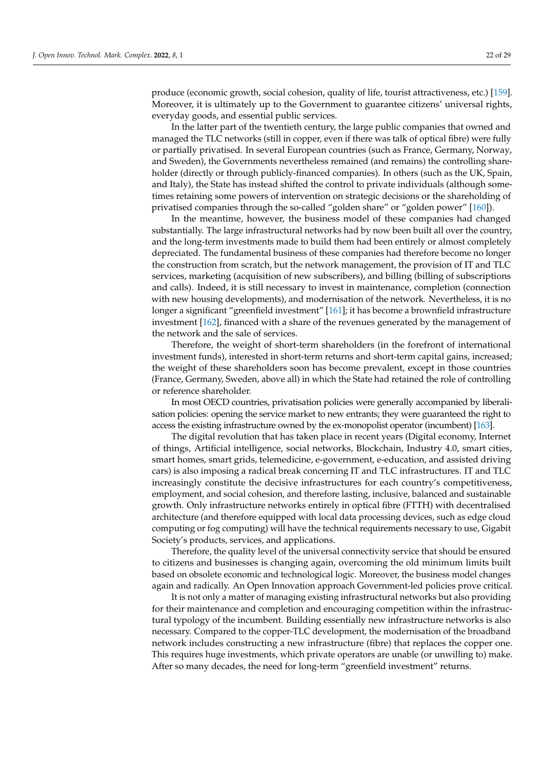produce (economic growth, social cohesion, quality of life, tourist attractiveness, etc.) [\[159\]](#page-29-25). Moreover, it is ultimately up to the Government to guarantee citizens' universal rights, everyday goods, and essential public services.

In the latter part of the twentieth century, the large public companies that owned and managed the TLC networks (still in copper, even if there was talk of optical fibre) were fully or partially privatised. In several European countries (such as France, Germany, Norway, and Sweden), the Governments nevertheless remained (and remains) the controlling shareholder (directly or through publicly-financed companies). In others (such as the UK, Spain, and Italy), the State has instead shifted the control to private individuals (although sometimes retaining some powers of intervention on strategic decisions or the shareholding of privatised companies through the so-called "golden share" or "golden power" [\[160\]](#page-29-26)).

In the meantime, however, the business model of these companies had changed substantially. The large infrastructural networks had by now been built all over the country, and the long-term investments made to build them had been entirely or almost completely depreciated. The fundamental business of these companies had therefore become no longer the construction from scratch, but the network management, the provision of IT and TLC services, marketing (acquisition of new subscribers), and billing (billing of subscriptions and calls). Indeed, it is still necessary to invest in maintenance, completion (connection with new housing developments), and modernisation of the network. Nevertheless, it is no longer a significant "greenfield investment" [\[161\]](#page-29-27); it has become a brownfield infrastructure investment [\[162\]](#page-29-28), financed with a share of the revenues generated by the management of the network and the sale of services.

Therefore, the weight of short-term shareholders (in the forefront of international investment funds), interested in short-term returns and short-term capital gains, increased; the weight of these shareholders soon has become prevalent, except in those countries (France, Germany, Sweden, above all) in which the State had retained the role of controlling or reference shareholder.

In most OECD countries, privatisation policies were generally accompanied by liberalisation policies: opening the service market to new entrants; they were guaranteed the right to access the existing infrastructure owned by the ex-monopolist operator (incumbent) [\[163\]](#page-29-29).

The digital revolution that has taken place in recent years (Digital economy, Internet of things, Artificial intelligence, social networks, Blockchain, Industry 4.0, smart cities, smart homes, smart grids, telemedicine, e-government, e-education, and assisted driving cars) is also imposing a radical break concerning IT and TLC infrastructures. IT and TLC increasingly constitute the decisive infrastructures for each country's competitiveness, employment, and social cohesion, and therefore lasting, inclusive, balanced and sustainable growth. Only infrastructure networks entirely in optical fibre (FTTH) with decentralised architecture (and therefore equipped with local data processing devices, such as edge cloud computing or fog computing) will have the technical requirements necessary to use, Gigabit Society's products, services, and applications.

Therefore, the quality level of the universal connectivity service that should be ensured to citizens and businesses is changing again, overcoming the old minimum limits built based on obsolete economic and technological logic. Moreover, the business model changes again and radically. An Open Innovation approach Government-led policies prove critical.

It is not only a matter of managing existing infrastructural networks but also providing for their maintenance and completion and encouraging competition within the infrastructural typology of the incumbent. Building essentially new infrastructure networks is also necessary. Compared to the copper-TLC development, the modernisation of the broadband network includes constructing a new infrastructure (fibre) that replaces the copper one. This requires huge investments, which private operators are unable (or unwilling to) make. After so many decades, the need for long-term "greenfield investment" returns.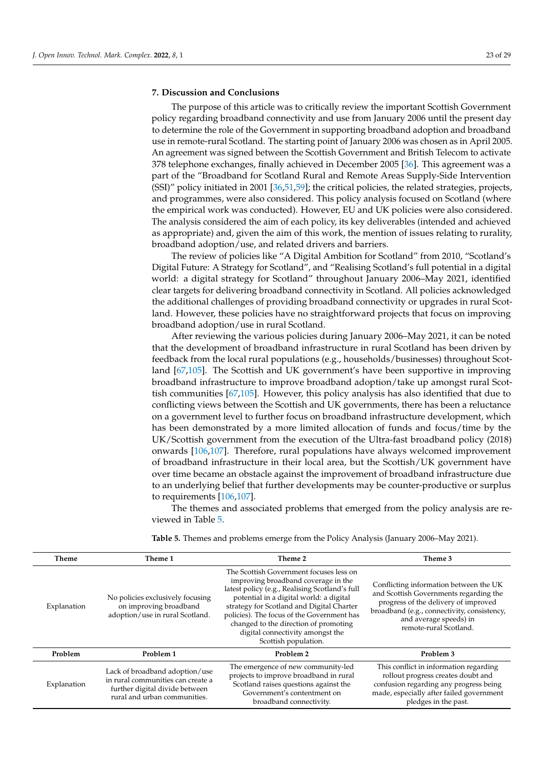### **7. Discussion and Conclusions**

The purpose of this article was to critically review the important Scottish Government policy regarding broadband connectivity and use from January 2006 until the present day to determine the role of the Government in supporting broadband adoption and broadband use in remote-rural Scotland. The starting point of January 2006 was chosen as in April 2005. An agreement was signed between the Scottish Government and British Telecom to activate 378 telephone exchanges, finally achieved in December 2005 [\[36\]](#page-25-16). This agreement was a part of the "Broadband for Scotland Rural and Remote Areas Supply-Side Intervention (SSI)" policy initiated in 2001 [\[36](#page-25-16)[,51](#page-26-5)[,59\]](#page-26-13); the critical policies, the related strategies, projects, and programmes, were also considered. This policy analysis focused on Scotland (where the empirical work was conducted). However, EU and UK policies were also considered. The analysis considered the aim of each policy, its key deliverables (intended and achieved as appropriate) and, given the aim of this work, the mention of issues relating to rurality, broadband adoption/use, and related drivers and barriers.

The review of policies like "A Digital Ambition for Scotland" from 2010, "Scotland's Digital Future: A Strategy for Scotland", and "Realising Scotland's full potential in a digital world: a digital strategy for Scotland" throughout January 2006–May 2021, identified clear targets for delivering broadband connectivity in Scotland. All policies acknowledged the additional challenges of providing broadband connectivity or upgrades in rural Scotland. However, these policies have no straightforward projects that focus on improving broadband adoption/use in rural Scotland.

After reviewing the various policies during January 2006–May 2021, it can be noted that the development of broadband infrastructure in rural Scotland has been driven by feedback from the local rural populations (e.g., households/businesses) throughout Scotland [\[67](#page-26-27)[,105\]](#page-28-4). The Scottish and UK government's have been supportive in improving broadband infrastructure to improve broadband adoption/take up amongst rural Scottish communities [\[67,](#page-26-27)[105\]](#page-28-4). However, this policy analysis has also identified that due to conflicting views between the Scottish and UK governments, there has been a reluctance on a government level to further focus on broadband infrastructure development, which has been demonstrated by a more limited allocation of funds and focus/time by the UK/Scottish government from the execution of the Ultra-fast broadband policy (2018) onwards [\[106](#page-28-5)[,107\]](#page-28-6). Therefore, rural populations have always welcomed improvement of broadband infrastructure in their local area, but the Scottish/UK government have over time became an obstacle against the improvement of broadband infrastructure due to an underlying belief that further developments may be counter-productive or surplus to requirements [\[106,](#page-28-5)[107\]](#page-28-6).

The themes and associated problems that emerged from the policy analysis are reviewed in Table [5.](#page-23-0)

| <b>Theme</b> | Theme 1                                                                                                                               | Theme 2                                                                                                                                                                                                                                                                                                                                                                     | Theme 3                                                                                                                                                                                                                     |
|--------------|---------------------------------------------------------------------------------------------------------------------------------------|-----------------------------------------------------------------------------------------------------------------------------------------------------------------------------------------------------------------------------------------------------------------------------------------------------------------------------------------------------------------------------|-----------------------------------------------------------------------------------------------------------------------------------------------------------------------------------------------------------------------------|
| Explanation  | No policies exclusively focusing<br>on improving broadband<br>adoption/use in rural Scotland.                                         | The Scottish Government focuses less on<br>improving broadband coverage in the<br>latest policy (e.g., Realising Scotland's full<br>potential in a digital world: a digital<br>strategy for Scotland and Digital Charter<br>policies). The focus of the Government has<br>changed to the direction of promoting<br>digital connectivity amongst the<br>Scottish population. | Conflicting information between the UK<br>and Scottish Governments regarding the<br>progress of the delivery of improved<br>broadband (e.g., connectivity, consistency,<br>and average speeds) in<br>remote-rural Scotland. |
| Problem      | Problem 1                                                                                                                             | Problem 2                                                                                                                                                                                                                                                                                                                                                                   | Problem 3                                                                                                                                                                                                                   |
| Explanation  | Lack of broadband adoption/use<br>in rural communities can create a<br>further digital divide between<br>rural and urban communities. | The emergence of new community-led<br>projects to improve broadband in rural<br>Scotland raises questions against the<br>Government's contentment on<br>broadband connectivity.                                                                                                                                                                                             | This conflict in information regarding<br>rollout progress creates doubt and<br>confusion regarding any progress being<br>made, especially after failed government<br>pledges in the past.                                  |

<span id="page-23-0"></span>**Table 5.** Themes and problems emerge from the Policy Analysis (January 2006–May 2021).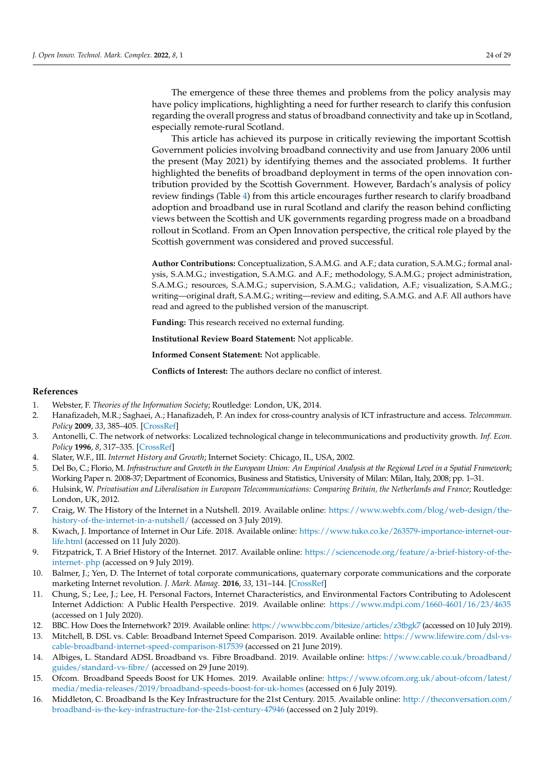The emergence of these three themes and problems from the policy analysis may have policy implications, highlighting a need for further research to clarify this confusion regarding the overall progress and status of broadband connectivity and take up in Scotland, especially remote-rural Scotland.

This article has achieved its purpose in critically reviewing the important Scottish Government policies involving broadband connectivity and use from January 2006 until the present (May 2021) by identifying themes and the associated problems. It further highlighted the benefits of broadband deployment in terms of the open innovation contribution provided by the Scottish Government. However, Bardach's analysis of policy review findings (Table [4\)](#page-17-0) from this article encourages further research to clarify broadband adoption and broadband use in rural Scotland and clarify the reason behind conflicting views between the Scottish and UK governments regarding progress made on a broadband rollout in Scotland. From an Open Innovation perspective, the critical role played by the Scottish government was considered and proved successful.

**Author Contributions:** Conceptualization, S.A.M.G. and A.F.; data curation, S.A.M.G.; formal analysis, S.A.M.G.; investigation, S.A.M.G. and A.F.; methodology, S.A.M.G.; project administration, S.A.M.G.; resources, S.A.M.G.; supervision, S.A.M.G.; validation, A.F.; visualization, S.A.M.G.; writing—original draft, S.A.M.G.; writing—review and editing, S.A.M.G. and A.F. All authors have read and agreed to the published version of the manuscript.

**Funding:** This research received no external funding.

**Institutional Review Board Statement:** Not applicable.

**Informed Consent Statement:** Not applicable.

**Conflicts of Interest:** The authors declare no conflict of interest.

### **References**

- <span id="page-24-0"></span>1. Webster, F. *Theories of the Information Society*; Routledge: London, UK, 2014.
- <span id="page-24-1"></span>2. Hanafizadeh, M.R.; Saghaei, A.; Hanafizadeh, P. An index for cross-country analysis of ICT infrastructure and access. *Telecommun. Policy* **2009**, *33*, 385–405. [\[CrossRef\]](http://doi.org/10.1016/j.telpol.2009.03.008)
- <span id="page-24-2"></span>3. Antonelli, C. The network of networks: Localized technological change in telecommunications and productivity growth. *Inf. Econ. Policy* **1996**, *8*, 317–335. [\[CrossRef\]](http://doi.org/10.1016/S0167-6245(96)00015-7)
- <span id="page-24-3"></span>4. Slater, W.F., III. *Internet History and Growth*; Internet Society: Chicago, IL, USA, 2002.
- <span id="page-24-4"></span>5. Del Bo, C.; Florio, M. *Infrastructure and Growth in the European Union: An Empirical Analysis at the Regional Level in a Spatial Framework*; Working Paper n. 2008-37; Department of Economics, Business and Statistics, University of Milan: Milan, Italy, 2008; pp. 1–31.
- <span id="page-24-5"></span>6. Hulsink, W. *Privatisation and Liberalisation in European Telecommunications: Comparing Britain, the Netherlands and France*; Routledge: London, UK, 2012.
- <span id="page-24-6"></span>7. Craig, W. The History of the Internet in a Nutshell. 2019. Available online: [https://www.webfx.com/blog/web-design/the](https://www.webfx.com/blog/web-design/the-history-of-the-internet-in-a-nutshell/)[history-of-the-internet-in-a-nutshell/](https://www.webfx.com/blog/web-design/the-history-of-the-internet-in-a-nutshell/) (accessed on 3 July 2019).
- <span id="page-24-7"></span>8. Kwach, J. Importance of Internet in Our Life. 2018. Available online: [https://www.tuko.co.ke/263579-importance-internet-our](https://www.tuko.co.ke/263579-importance-internet-our-life.html)[life.html](https://www.tuko.co.ke/263579-importance-internet-our-life.html) (accessed on 11 July 2020).
- <span id="page-24-8"></span>9. Fitzpatrick, T. A Brief History of the Internet. 2017. Available online: [https://sciencenode.org/feature/a-brief-history-of-the](https://sciencenode.org/feature/a-brief-history-of-the-internet-.php)[internet-.php](https://sciencenode.org/feature/a-brief-history-of-the-internet-.php) (accessed on 9 July 2019).
- <span id="page-24-9"></span>10. Balmer, J.; Yen, D. The Internet of total corporate communications, quaternary corporate communications and the corporate marketing Internet revolution. *J. Mark. Manag.* **2016**, *33*, 131–144. [\[CrossRef\]](http://doi.org/10.1080/0267257X.2016.1255440)
- <span id="page-24-10"></span>11. Chung, S.; Lee, J.; Lee, H. Personal Factors, Internet Characteristics, and Environmental Factors Contributing to Adolescent Internet Addiction: A Public Health Perspective. 2019. Available online: <https://www.mdpi.com/1660-4601/16/23/4635> (accessed on 1 July 2020).
- <span id="page-24-11"></span>12. BBC. How Does the Internetwork? 2019. Available online: <https://www.bbc.com/bitesize/articles/z3tbgk7> (accessed on 10 July 2019).
- <span id="page-24-12"></span>13. Mitchell, B. DSL vs. Cable: Broadband Internet Speed Comparison. 2019. Available online: [https://www.lifewire.com/dsl-vs](https://www.lifewire.com/dsl-vs-cable-broadband-internet-speed-comparison-817539)[cable-broadband-internet-speed-comparison-817539](https://www.lifewire.com/dsl-vs-cable-broadband-internet-speed-comparison-817539) (accessed on 21 June 2019).
- <span id="page-24-13"></span>14. Albiges, L. Standard ADSL Broadband vs. Fibre Broadband. 2019. Available online: [https://www.cable.co.uk/broadband/](https://www.cable.co.uk/broadband/guides/standard-vs-fibre/) [guides/standard-vs-fibre/](https://www.cable.co.uk/broadband/guides/standard-vs-fibre/) (accessed on 29 June 2019).
- <span id="page-24-14"></span>15. Ofcom. Broadband Speeds Boost for UK Homes. 2019. Available online: [https://www.ofcom.org.uk/about-ofcom/latest/](https://www.ofcom.org.uk/about-ofcom/latest/media/media-releases/2019/broadband-speeds-boost-for-uk-homes) [media/media-releases/2019/broadband-speeds-boost-for-uk-homes](https://www.ofcom.org.uk/about-ofcom/latest/media/media-releases/2019/broadband-speeds-boost-for-uk-homes) (accessed on 6 July 2019).
- <span id="page-24-15"></span>16. Middleton, C. Broadband Is the Key Infrastructure for the 21st Century. 2015. Available online: [http://theconversation.com/](http://theconversation.com/broadband-is-the-key-infrastructure-for-the-21st-century-47946) [broadband-is-the-key-infrastructure-for-the-21st-century-47946](http://theconversation.com/broadband-is-the-key-infrastructure-for-the-21st-century-47946) (accessed on 2 July 2019).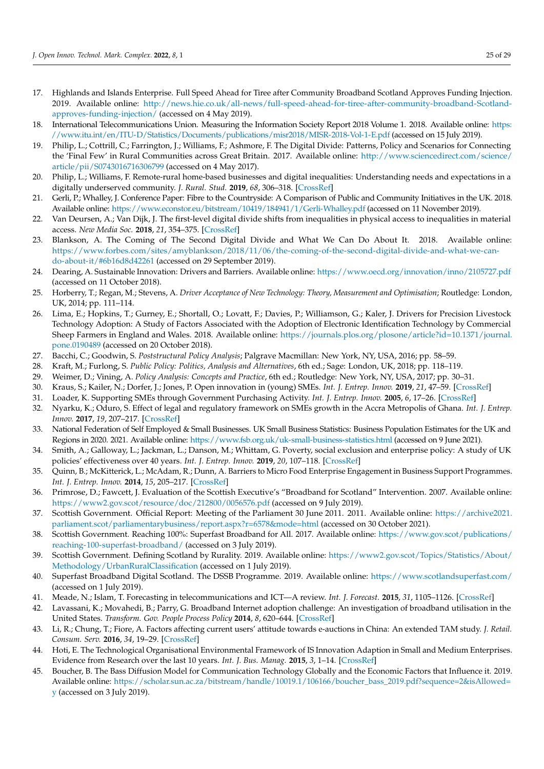- <span id="page-25-0"></span>17. Highlands and Islands Enterprise. Full Speed Ahead for Tiree after Community Broadband Scotland Approves Funding Injection. 2019. Available online: [http://news.hie.co.uk/all-news/full-speed-ahead-for-tiree-after-community-broadband-Scotland](http://news.hie.co.uk/all-news/full-speed-ahead-for-tiree-after-community-broadband-Scotland-approves-funding-injection/)[approves-funding-injection/](http://news.hie.co.uk/all-news/full-speed-ahead-for-tiree-after-community-broadband-Scotland-approves-funding-injection/) (accessed on 4 May 2019).
- <span id="page-25-1"></span>18. International Telecommunications Union. Measuring the Information Society Report 2018 Volume 1. 2018. Available online: [https:](https://www.itu.int/en/ITU-D/Statistics/Documents/publications/misr2018/MISR-2018-Vol-1-E.pdf) [//www.itu.int/en/ITU-D/Statistics/Documents/publications/misr2018/MISR-2018-Vol-1-E.pdf](https://www.itu.int/en/ITU-D/Statistics/Documents/publications/misr2018/MISR-2018-Vol-1-E.pdf) (accessed on 15 July 2019).
- <span id="page-25-2"></span>19. Philip, L.; Cottrill, C.; Farrington, J.; Williams, F.; Ashmore, F. The Digital Divide: Patterns, Policy and Scenarios for Connecting the 'Final Few' in Rural Communities across Great Britain. 2017. Available online: [http://www.sciencedirect.com/science/](http://www.sciencedirect.com/science/article/pii/S0743016716306799) [article/pii/S0743016716306799](http://www.sciencedirect.com/science/article/pii/S0743016716306799) (accessed on 4 May 2017).
- <span id="page-25-3"></span>20. Philip, L.; Williams, F. Remote-rural home-based businesses and digital inequalities: Understanding needs and expectations in a digitally underserved community. *J. Rural. Stud.* **2019**, *68*, 306–318. [\[CrossRef\]](http://doi.org/10.1016/j.jrurstud.2018.09.011)
- <span id="page-25-4"></span>21. Gerli, P.; Whalley, J. Conference Paper: Fibre to the Countryside: A Comparison of Public and Community Initiatives in the UK. 2018. Available online: <https://www.econstor.eu/bitstream/10419/184941/1/Gerli-Whalley.pdf> (accessed on 11 November 2019).
- <span id="page-25-5"></span>22. Van Deursen, A.; Van Dijk, J. The first-level digital divide shifts from inequalities in physical access to inequalities in material access. *New Media Soc.* **2018**, *21*, 354–375. [\[CrossRef\]](http://doi.org/10.1177/1461444818797082)
- <span id="page-25-6"></span>23. Blankson, A. The Coming of The Second Digital Divide and What We Can Do About It. 2018. Available online: [https://www.forbes.com/sites/amyblankson/2018/11/06/the-coming-of-the-second-digital-divide-and-what-we-can](https://www.forbes.com/sites/amyblankson/2018/11/06/the-coming-of-the-second-digital-divide-and-what-we-can-do-about-it/#6b16d8d42261)[do-about-it/#6b16d8d42261](https://www.forbes.com/sites/amyblankson/2018/11/06/the-coming-of-the-second-digital-divide-and-what-we-can-do-about-it/#6b16d8d42261) (accessed on 29 September 2019).
- <span id="page-25-7"></span>24. Dearing, A. Sustainable Innovation: Drivers and Barriers. Available online: <https://www.oecd.org/innovation/inno/2105727.pdf> (accessed on 11 October 2018).
- 25. Horberry, T.; Regan, M.; Stevens, A. *Driver Acceptance of New Technology: Theory, Measurement and Optimisation*; Routledge: London, UK, 2014; pp. 111–114.
- <span id="page-25-8"></span>26. Lima, E.; Hopkins, T.; Gurney, E.; Shortall, O.; Lovatt, F.; Davies, P.; Williamson, G.; Kaler, J. Drivers for Precision Livestock Technology Adoption: A Study of Factors Associated with the Adoption of Electronic Identification Technology by Commercial Sheep Farmers in England and Wales. 2018. Available online: [https://journals.plos.org/plosone/article?id=10.1371/journal.](https://journals.plos.org/plosone/article?id=10.1371/journal.pone.0190489) [pone.0190489](https://journals.plos.org/plosone/article?id=10.1371/journal.pone.0190489) (accessed on 20 October 2018).
- <span id="page-25-9"></span>27. Bacchi, C.; Goodwin, S. *Poststructural Policy Analysis*; Palgrave Macmillan: New York, NY, USA, 2016; pp. 58–59.
- 28. Kraft, M.; Furlong, S. *Public Policy: Politics, Analysis and Alternatives*, 6th ed.; Sage: London, UK, 2018; pp. 118–119.
- <span id="page-25-10"></span>29. Weimer, D.; Vining, A. *Policy Analysis: Concepts and Practice*, 6th ed.; Routledge: New York, NY, USA, 2017; pp. 30–31.
- <span id="page-25-11"></span>30. Kraus, S.; Kailer, N.; Dorfer, J.; Jones, P. Open innovation in (young) SMEs. *Int. J. Entrep. Innov.* **2019**, *21*, 47–59. [\[CrossRef\]](http://doi.org/10.1177/1465750319840778)
- 31. Loader, K. Supporting SMEs through Government Purchasing Activity. *Int. J. Entrep. Innov.* **2005**, *6*, 17–26. [\[CrossRef\]](http://doi.org/10.5367/0000000053026383)
- <span id="page-25-12"></span>32. Nyarku, K.; Oduro, S. Effect of legal and regulatory framework on SMEs growth in the Accra Metropolis of Ghana. *Int. J. Entrep. Innov.* **2017**, *19*, 207–217. [\[CrossRef\]](http://doi.org/10.1177/1465750317742842)
- <span id="page-25-13"></span>33. National Federation of Self Employed & Small Businesses. UK Small Business Statistics: Business Population Estimates for the UK and Regions in 2020. 2021. Available online: <https://www.fsb.org.uk/uk-small-business-statistics.html> (accessed on 9 June 2021).
- <span id="page-25-14"></span>34. Smith, A.; Galloway, L.; Jackman, L.; Danson, M.; Whittam, G. Poverty, social exclusion and enterprise policy: A study of UK policies' effectiveness over 40 years. *Int. J. Entrep. Innov.* **2019**, *20*, 107–118. [\[CrossRef\]](http://doi.org/10.1177/1465750318809803)
- <span id="page-25-15"></span>35. Quinn, B.; McKitterick, L.; McAdam, R.; Dunn, A. Barriers to Micro Food Enterprise Engagement in Business Support Programmes. *Int. J. Entrep. Innov.* **2014**, *15*, 205–217. [\[CrossRef\]](http://doi.org/10.5367/ijei.2014.0154)
- <span id="page-25-16"></span>36. Primrose, D.; Fawcett, J. Evaluation of the Scottish Executive's "Broadband for Scotland" Intervention. 2007. Available online: <https://www2.gov.scot/resource/doc/212800/0056576.pdf> (accessed on 9 July 2019).
- <span id="page-25-17"></span>37. Scottish Government. Official Report: Meeting of the Parliament 30 June 2011. 2011. Available online: [https://archive2021.](https://archive2021.parliament.scot/parliamentarybusiness/report.aspx?r=6578&mode=html) [parliament.scot/parliamentarybusiness/report.aspx?r=6578&mode=html](https://archive2021.parliament.scot/parliamentarybusiness/report.aspx?r=6578&mode=html) (accessed on 30 October 2021).
- <span id="page-25-18"></span>38. Scottish Government. Reaching 100%: Superfast Broadband for All. 2017. Available online: [https://www.gov.scot/publications/](https://www.gov.scot/publications/reaching-100-superfast-broadband/) [reaching-100-superfast-broadband/](https://www.gov.scot/publications/reaching-100-superfast-broadband/) (accessed on 3 July 2019).
- <span id="page-25-19"></span>39. Scottish Government. Defining Scotland by Rurality. 2019. Available online: [https://www2.gov.scot/Topics/Statistics/About/](https://www2.gov.scot/Topics/Statistics/About/Methodology/UrbanRuralClassification) [Methodology/UrbanRuralClassification](https://www2.gov.scot/Topics/Statistics/About/Methodology/UrbanRuralClassification) (accessed on 1 July 2019).
- <span id="page-25-20"></span>40. Superfast Broadband Digital Scotland. The DSSB Programme. 2019. Available online: <https://www.scotlandsuperfast.com/> (accessed on 1 July 2019).
- <span id="page-25-21"></span>41. Meade, N.; Islam, T. Forecasting in telecommunications and ICT—A review. *Int. J. Forecast.* **2015**, *31*, 1105–1126. [\[CrossRef\]](http://doi.org/10.1016/j.ijforecast.2014.09.003)
- <span id="page-25-22"></span>42. Lavassani, K.; Movahedi, B.; Parry, G. Broadband Internet adoption challenge: An investigation of broadband utilisation in the United States. *Transform. Gov. People Process Policy* **2014**, *8*, 620–644. [\[CrossRef\]](http://doi.org/10.1108/TG-11-2013-0050)
- <span id="page-25-23"></span>43. Li, R.; Chung, T.; Fiore, A. Factors affecting current users' attitude towards e-auctions in China: An extended TAM study. *J. Retail. Consum. Serv.* **2016**, *34*, 19–29. [\[CrossRef\]](http://doi.org/10.1016/j.jretconser.2016.09.003)
- <span id="page-25-24"></span>44. Hoti, E. The Technological Organisational Environmental Framework of IS Innovation Adaption in Small and Medium Enterprises. Evidence from Research over the last 10 years. *Int. J. Bus. Manag.* **2015**, *3*, 1–14. [\[CrossRef\]](http://doi.org/10.20472/BM.2015.3.4.001)
- <span id="page-25-25"></span>45. Boucher, B. The Bass Diffusion Model for Communication Technology Globally and the Economic Factors that Influence it. 2019. Available online: [https://scholar.sun.ac.za/bitstream/handle/10019.1/106166/boucher\\_bass\\_2019.pdf?sequence=2&isAllowed=](https://scholar.sun.ac.za/bitstream/handle/10019.1/106166/boucher_bass_2019.pdf?sequence=2&isAllowed=y) [y](https://scholar.sun.ac.za/bitstream/handle/10019.1/106166/boucher_bass_2019.pdf?sequence=2&isAllowed=y) (accessed on 3 July 2019).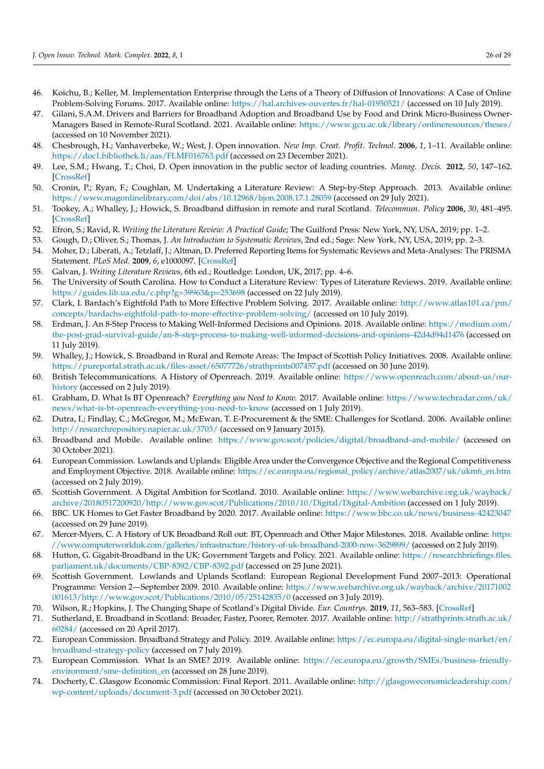- <span id="page-26-0"></span>46. Koichu, B.; Keller, M. Implementation Enterprise through the Lens of a Theory of Diffusion of Innovations: A Case of Online Problem-Solving Forums. 2017. Available online: <https://hal.archives-ouvertes.fr/hal-01950521/> (accessed on 10 July 2019).
- <span id="page-26-1"></span>47. Gilani, S.A.M. Drivers and Barriers for Broadband Adoption and Broadband Use by Food and Drink Micro-Business Owner-Managers Based in Remote-Rural Scotland. 2021. Available online: <https://www.gcu.ac.uk/library/onlineresources/theses/> (accessed on 10 November 2021).
- <span id="page-26-2"></span>48. Chesbrough, H.; Vanhaverbeke, W.; West, J. Open innovation. *New Imp. Creat. Profit. Technol.* **2006**, *1*, 1–11. Available online: <https://doc1.bibliothek.li/aas/FLMF016763.pdf> (accessed on 23 December 2021).
- <span id="page-26-3"></span>49. Lee, S.M.; Hwang, T.; Choi, D. Open innovation in the public sector of leading countries. *Manag. Decis.* **2012**, *50*, 147–162. [\[CrossRef\]](http://doi.org/10.1108/00251741211194921)
- <span id="page-26-4"></span>50. Cronin, P.; Ryan, F.; Coughlan, M. Undertaking a Literature Review: A Step-by-Step Approach. 2013. Available online: <https://www.magonlinelibrary.com/doi/abs/10.12968/bjon.2008.17.1.28059> (accessed on 29 July 2021).
- <span id="page-26-5"></span>51. Tookey, A.; Whalley, J.; Howick, S. Broadband diffusion in remote and rural Scotland. *Telecommun. Policy* **2006**, *30*, 481–495. [\[CrossRef\]](http://doi.org/10.1016/j.telpol.2006.06.001)
- <span id="page-26-6"></span>52. Efron, S.; Ravid, R. *Writing the Literature Review: A Practical Guide*; The Guilford Press: New York, NY, USA, 2019; pp. 1–2.
- <span id="page-26-7"></span>53. Gough, D.; Oliver, S.; Thomas, J. *An Introduction to Systematic Reviews*, 2nd ed.; Sage: New York, NY, USA, 2019; pp. 2–3.
- <span id="page-26-8"></span>54. Moher, D.; Liberati, A.; Tetzlaff, J.; Altman, D. Preferred Reporting Items for Systematic Reviews and Meta-Analyses: The PRISMA Statement. *PLoS Med.* **2009**, *6*, e1000097. [\[CrossRef\]](http://doi.org/10.1371/journal.pmed.1000097)
- <span id="page-26-9"></span>55. Galvan, J. *Writing Literature Reviews*, 6th ed.; Routledge: London, UK, 2017; pp. 4–6.
- <span id="page-26-10"></span>56. The University of South Carolina. How to Conduct a Literature Review: Types of Literature Reviews. 2019. Available online: <https://guides.lib.ua.edu/c.php?g=39963&p=253698> (accessed on 22 July 2019).
- <span id="page-26-11"></span>57. Clark, I. Bardach's Eightfold Path to More Effective Problem Solving. 2017. Available online: [http://www.atlas101.ca/pm/](http://www.atlas101.ca/pm/concepts/bardachs-eightfold-path-to-more-effective-problem-solving/) [concepts/bardachs-eightfold-path-to-more-effective-problem-solving/](http://www.atlas101.ca/pm/concepts/bardachs-eightfold-path-to-more-effective-problem-solving/) (accessed on 10 July 2019).
- <span id="page-26-12"></span>58. Erdman, J. An 8-Step Process to Making Well-Informed Decisions and Opinions. 2018. Available online: [https://medium.com/](https://medium.com/the-post-grad-survival-guide/an-8-step-process-to-making-well-informed-decisions-and-opinions-42d4d94d1476) [the-post-grad-survival-guide/an-8-step-process-to-making-well-informed-decisions-and-opinions-42d4d94d1476](https://medium.com/the-post-grad-survival-guide/an-8-step-process-to-making-well-informed-decisions-and-opinions-42d4d94d1476) (accessed on 11 July 2019).
- <span id="page-26-13"></span>59. Whalley, J.; Howick, S. Broadband in Rural and Remote Areas: The Impact of Scottish Policy Initiatives. 2008. Available online: <https://pureportal.strath.ac.uk/files-asset/65077726/strathprints007457.pdf> (accessed on 30 June 2019).
- <span id="page-26-14"></span>60. British Telecommunications. A History of Openreach. 2019. Available online: [https://www.openreach.com/about-us/our](https://www.openreach.com/about-us/our-history)[history](https://www.openreach.com/about-us/our-history) (accessed on 2 July 2019).
- <span id="page-26-15"></span>61. Grabham, D. What Is BT Openreach? *Everything you Need to Know.* 2017. Available online: [https://www.techradar.com/uk/](https://www.techradar.com/uk/news/what-is-bt-openreach-everything-you-need-to-know) [news/what-is-bt-openreach-everything-you-need-to-know](https://www.techradar.com/uk/news/what-is-bt-openreach-everything-you-need-to-know) (accessed on 1 July 2019).
- <span id="page-26-16"></span>62. Dutra, I.; Findlay, C.; McGregor, M.; McEwan, T. E-Procurement & the SME: Challenges for Scotland. 2006. Available online: <http://researchrepository.napier.ac.uk/3703/> (accessed on 9 January 2015).
- <span id="page-26-17"></span>63. Broadband and Mobile. Available online: <https://www.gov.scot/policies/digital/broadband-and-mobile/> (accessed on 30 October 2021).
- <span id="page-26-18"></span>64. European Commission. Lowlands and Uplands: Eligible Area under the Convergence Objective and the Regional Competitiveness and Employment Objective. 2018. Available online: [https://ec.europa.eu/regional\\_policy/archive/atlas2007/uk/ukm6\\_en.htm](https://ec.europa.eu/regional_policy/archive/atlas2007/uk/ukm6_en.htm) (accessed on 2 July 2019).
- <span id="page-26-19"></span>65. Scottish Government. A Digital Ambition for Scotland. 2010. Available online: [https://www.webarchive.org.uk/wayback/](https://www.webarchive.org.uk/wayback/archive/20180517200920/http://www.gov.scot/Publications/2010/10/Digital/Digital-Ambition) [archive/20180517200920/http://www.gov.scot/Publications/2010/10/Digital/Digital-Ambition](https://www.webarchive.org.uk/wayback/archive/20180517200920/http://www.gov.scot/Publications/2010/10/Digital/Digital-Ambition) (accessed on 1 July 2019).
- <span id="page-26-20"></span>66. BBC. UK Homes to Get Faster Broadband by 2020. 2017. Available online: <https://www.bbc.co.uk/news/business-42423047> (accessed on 29 June 2019).
- <span id="page-26-27"></span>67. Mercer-Myers, C. A History of UK Broadband Roll out: BT, Openreach and Other Major Milestones. 2018. Available online: [https:](https://www.computerworlduk.com/galleries/infrastructure/history-of-uk-broadband-2000-now-3629899/) [//www.computerworlduk.com/galleries/infrastructure/history-of-uk-broadband-2000-now-3629899/](https://www.computerworlduk.com/galleries/infrastructure/history-of-uk-broadband-2000-now-3629899/) (accessed on 2 July 2019).
- <span id="page-26-21"></span>68. Hutton, G. Gigabit-Broadband in the UK: Government Targets and Policy. 2021. Available online: [https://researchbriefings.files.](https://researchbriefings.files.parliament.uk/documents/CBP-8392/CBP-8392.pdf) [parliament.uk/documents/CBP-8392/CBP-8392.pdf](https://researchbriefings.files.parliament.uk/documents/CBP-8392/CBP-8392.pdf) (accessed on 25 June 2021).
- <span id="page-26-22"></span>69. Scottish Government. Lowlands and Uplands Scotland: European Regional Development Fund 2007–2013: Operational Programme: Version 2—September 2009. 2010. Available online: [https://www.webarchive.org.uk/wayback/archive/20171002](https://www.webarchive.org.uk/wayback/archive/20171002001613/http://www.gov.scot/Publications/2010/05/25142835/0) [001613/http://www.gov.scot/Publications/2010/05/25142835/0](https://www.webarchive.org.uk/wayback/archive/20171002001613/http://www.gov.scot/Publications/2010/05/25142835/0) (accessed on 3 July 2019).
- <span id="page-26-23"></span>70. Wilson, R.; Hopkins, J. The Changing Shape of Scotland's Digital Divide. *Eur. Countrys.* **2019**, *11*, 563–583. [\[CrossRef\]](http://doi.org/10.2478/euco-2019-0031)
- <span id="page-26-24"></span>71. Sutherland, E. Broadband in Scotland: Broader, Faster, Poorer, Remoter. 2017. Available online: [http://strathprints.strath.ac.uk/](http://strathprints.strath.ac.uk/60284/) [60284/](http://strathprints.strath.ac.uk/60284/) (accessed on 20 April 2017).
- <span id="page-26-25"></span>72. European Commission. Broadband Strategy and Policy. 2019. Available online: [https://ec.europa.eu/digital-single-market/en/](https://ec.europa.eu/digital-single-market/en/broadband-strategy-policy) [broadband-strategy-policy](https://ec.europa.eu/digital-single-market/en/broadband-strategy-policy) (accessed on 7 July 2019).
- <span id="page-26-26"></span>73. European Commission. What Is an SME? 2019. Available online: [https://ec.europa.eu/growth/SMEs/business-friendly](https://ec.europa.eu/growth/SMEs/business-friendly-environment/sme-definition_en)[environment/sme-definition\\_en](https://ec.europa.eu/growth/SMEs/business-friendly-environment/sme-definition_en) (accessed on 28 June 2019).
- 74. Docherty, C. Glasgow Economic Commission: Final Report. 2011. Available online: [http://glasgoweconomicleadership.com/](http://glasgoweconomicleadership.com/wp-content/uploads/document-3.pdf) [wp-content/uploads/document-3.pdf](http://glasgoweconomicleadership.com/wp-content/uploads/document-3.pdf) (accessed on 30 October 2021).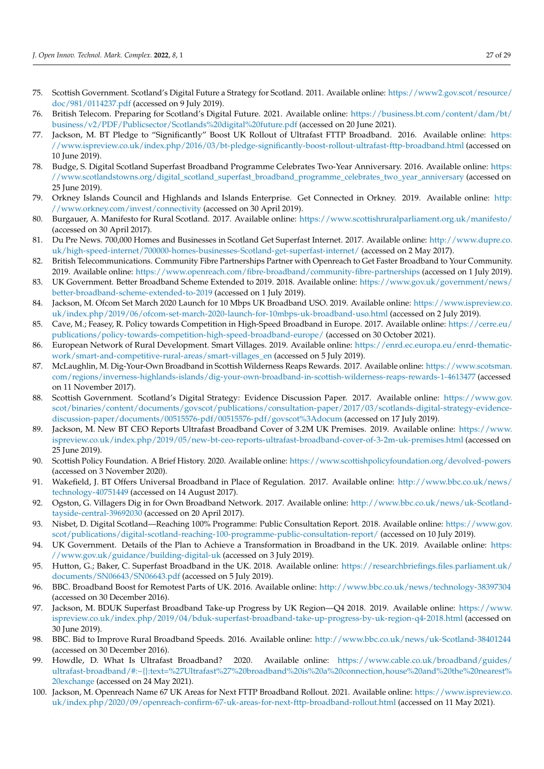- <span id="page-27-0"></span>75. Scottish Government. Scotland's Digital Future a Strategy for Scotland. 2011. Available online: [https://www2.gov.scot/resource/](https://www2.gov.scot/resource/doc/981/0114237.pdf) [doc/981/0114237.pdf](https://www2.gov.scot/resource/doc/981/0114237.pdf) (accessed on 9 July 2019).
- <span id="page-27-1"></span>76. British Telecom. Preparing for Scotland's Digital Future. 2021. Available online: [https://business.bt.com/content/dam/bt/](https://business.bt.com/content/dam/bt/business/v2/PDF/Publicsector/Scotlands%20digital%20future.pdf) [business/v2/PDF/Publicsector/Scotlands%20digital%20future.pdf](https://business.bt.com/content/dam/bt/business/v2/PDF/Publicsector/Scotlands%20digital%20future.pdf) (accessed on 20 June 2021).
- <span id="page-27-2"></span>77. Jackson, M. BT Pledge to "Significantly" Boost UK Rollout of Ultrafast FTTP Broadband. 2016. Available online: [https:](https://www.ispreview.co.uk/index.php/2016/03/bt-pledge-significantly-boost-rollout-ultrafast-fttp-broadband.html) [//www.ispreview.co.uk/index.php/2016/03/bt-pledge-significantly-boost-rollout-ultrafast-fttp-broadband.html](https://www.ispreview.co.uk/index.php/2016/03/bt-pledge-significantly-boost-rollout-ultrafast-fttp-broadband.html) (accessed on 10 June 2019).
- <span id="page-27-3"></span>78. Budge, S. Digital Scotland Superfast Broadband Programme Celebrates Two-Year Anniversary. 2016. Available online: [https:](https://www.scotlandstowns.org/digital_scotland_superfast_broadband_programme_celebrates_two_year_anniversary) [//www.scotlandstowns.org/digital\\_scotland\\_superfast\\_broadband\\_programme\\_celebrates\\_two\\_year\\_anniversary](https://www.scotlandstowns.org/digital_scotland_superfast_broadband_programme_celebrates_two_year_anniversary) (accessed on 25 June 2019).
- <span id="page-27-4"></span>79. Orkney Islands Council and Highlands and Islands Enterprise. Get Connected in Orkney. 2019. Available online: [http:](http://www.orkney.com/invest/connectivity) [//www.orkney.com/invest/connectivity](http://www.orkney.com/invest/connectivity) (accessed on 30 April 2019).
- <span id="page-27-5"></span>80. Burgauer, A. Manifesto for Rural Scotland. 2017. Available online: <https://www.scottishruralparliament.org.uk/manifesto/> (accessed on 30 April 2017).
- <span id="page-27-6"></span>81. Du Pre News. 700,000 Homes and Businesses in Scotland Get Superfast Internet. 2017. Available online: [http://www.dupre.co.](http://www.dupre.co.uk/high-speed-internet/700000-homes-businesses-Scotland-get-superfast-internet/) [uk/high-speed-internet/700000-homes-businesses-Scotland-get-superfast-internet/](http://www.dupre.co.uk/high-speed-internet/700000-homes-businesses-Scotland-get-superfast-internet/) (accessed on 2 May 2017).
- <span id="page-27-7"></span>82. British Telecommunications. Community Fibre Partnerships Partner with Openreach to Get Faster Broadband to Your Community. 2019. Available online: <https://www.openreach.com/fibre-broadband/community-fibre-partnerships> (accessed on 1 July 2019).
- <span id="page-27-8"></span>83. UK Government. Better Broadband Scheme Extended to 2019. 2018. Available online: [https://www.gov.uk/government/news/](https://www.gov.uk/government/news/better-broadband-scheme-extended-to-2019) [better-broadband-scheme-extended-to-2019](https://www.gov.uk/government/news/better-broadband-scheme-extended-to-2019) (accessed on 1 July 2019).
- <span id="page-27-9"></span>84. Jackson, M. Ofcom Set March 2020 Launch for 10 Mbps UK Broadband USO. 2019. Available online: [https://www.ispreview.co.](https://www.ispreview.co.uk/index.php/2019/06/ofcom-set-march-2020-launch-for-10mbps-uk-broadband-uso.html) [uk/index.php/2019/06/ofcom-set-march-2020-launch-for-10mbps-uk-broadband-uso.html](https://www.ispreview.co.uk/index.php/2019/06/ofcom-set-march-2020-launch-for-10mbps-uk-broadband-uso.html) (accessed on 2 July 2019).
- <span id="page-27-10"></span>85. Cave, M.; Feasey, R. Policy towards Competition in High-Speed Broadband in Europe. 2017. Available online: [https://cerre.eu/](https://cerre.eu/publications/policy-towards-competition-high-speed-broadband-europe/) [publications/policy-towards-competition-high-speed-broadband-europe/](https://cerre.eu/publications/policy-towards-competition-high-speed-broadband-europe/) (accessed on 30 October 2021).
- <span id="page-27-11"></span>86. European Network of Rural Development. Smart Villages. 2019. Available online: [https://enrd.ec.europa.eu/enrd-thematic](https://enrd.ec.europa.eu/enrd-thematic-work/smart-and-competitive-rural-areas/smart-villages_en)[work/smart-and-competitive-rural-areas/smart-villages\\_en](https://enrd.ec.europa.eu/enrd-thematic-work/smart-and-competitive-rural-areas/smart-villages_en) (accessed on 5 July 2019).
- <span id="page-27-12"></span>87. McLaughlin, M. Dig-Your-Own Broadband in Scottish Wilderness Reaps Rewards. 2017. Available online: [https://www.scotsman.](https://www.scotsman.com/regions/inverness-highlands-islands/dig-your-own-broadband-in-scottish-wilderness-reaps-rewards-1-4613477) [com/regions/inverness-highlands-islands/dig-your-own-broadband-in-scottish-wilderness-reaps-rewards-1-4613477](https://www.scotsman.com/regions/inverness-highlands-islands/dig-your-own-broadband-in-scottish-wilderness-reaps-rewards-1-4613477) (accessed on 11 November 2017).
- <span id="page-27-13"></span>88. Scottish Government. Scotland's Digital Strategy: Evidence Discussion Paper. 2017. Available online: [https://www.gov.](https://www.gov.scot/binaries/content/documents/govscot/publications/consultation-paper/2017/03/scotlands-digital-strategy-evidence-discussion-paper/documents/00515576-pdf/00515576-pdf/govscot%3Adocum) [scot/binaries/content/documents/govscot/publications/consultation-paper/2017/03/scotlands-digital-strategy-evidence](https://www.gov.scot/binaries/content/documents/govscot/publications/consultation-paper/2017/03/scotlands-digital-strategy-evidence-discussion-paper/documents/00515576-pdf/00515576-pdf/govscot%3Adocum)[discussion-paper/documents/00515576-pdf/00515576-pdf/govscot%3Adocum](https://www.gov.scot/binaries/content/documents/govscot/publications/consultation-paper/2017/03/scotlands-digital-strategy-evidence-discussion-paper/documents/00515576-pdf/00515576-pdf/govscot%3Adocum) (accessed on 17 July 2019).
- <span id="page-27-14"></span>89. Jackson, M. New BT CEO Reports Ultrafast Broadband Cover of 3.2M UK Premises. 2019. Available online: [https://www.](https://www.ispreview.co.uk/index.php/2019/05/new-bt-ceo-reports-ultrafast-broadband-cover-of-3-2m-uk-premises.html) [ispreview.co.uk/index.php/2019/05/new-bt-ceo-reports-ultrafast-broadband-cover-of-3-2m-uk-premises.html](https://www.ispreview.co.uk/index.php/2019/05/new-bt-ceo-reports-ultrafast-broadband-cover-of-3-2m-uk-premises.html) (accessed on 25 June 2019).
- <span id="page-27-15"></span>90. Scottish Policy Foundation. A Brief History. 2020. Available online: <https://www.scottishpolicyfoundation.org/devolved-powers> (accessed on 3 November 2020).
- <span id="page-27-16"></span>91. Wakefield, J. BT Offers Universal Broadband in Place of Regulation. 2017. Available online: [http://www.bbc.co.uk/news/](http://www.bbc.co.uk/news/technology-40751449) [technology-40751449](http://www.bbc.co.uk/news/technology-40751449) (accessed on 14 August 2017).
- <span id="page-27-17"></span>92. Ogston, G. Villagers Dig in for Own Broadband Network. 2017. Available online: [http://www.bbc.co.uk/news/uk-Scotland](http://www.bbc.co.uk/news/uk-Scotland-tayside-central-39692030)[tayside-central-39692030](http://www.bbc.co.uk/news/uk-Scotland-tayside-central-39692030) (accessed on 20 April 2017).
- <span id="page-27-18"></span>93. Nisbet, D. Digital Scotland—Reaching 100% Programme: Public Consultation Report. 2018. Available online: [https://www.gov.](https://www.gov.scot/publications/digital-scotland-reaching-100-programme-public-consultation-report/) [scot/publications/digital-scotland-reaching-100-programme-public-consultation-report/](https://www.gov.scot/publications/digital-scotland-reaching-100-programme-public-consultation-report/) (accessed on 10 July 2019).
- <span id="page-27-19"></span>94. UK Government. Details of the Plan to Achieve a Transformation in Broadband in the UK. 2019. Available online: [https:](https://www.gov.uk/guidance/building-digital-uk) [//www.gov.uk/guidance/building-digital-uk](https://www.gov.uk/guidance/building-digital-uk) (accessed on 3 July 2019).
- <span id="page-27-20"></span>95. Hutton, G.; Baker, C. Superfast Broadband in the UK. 2018. Available online: [https://researchbriefings.files.parliament.uk/](https://researchbriefings.files.parliament.uk/documents/SN06643/SN06643.pdf) [documents/SN06643/SN06643.pdf](https://researchbriefings.files.parliament.uk/documents/SN06643/SN06643.pdf) (accessed on 5 July 2019).
- <span id="page-27-21"></span>96. BBC. Broadband Boost for Remotest Parts of UK. 2016. Available online: <http://www.bbc.co.uk/news/technology-38397304> (accessed on 30 December 2016).
- <span id="page-27-22"></span>97. Jackson, M. BDUK Superfast Broadband Take-up Progress by UK Region—Q4 2018. 2019. Available online: [https://www.](https://www.ispreview.co.uk/index.php/2019/04/bduk-superfast-broadband-take-up-progress-by-uk-region-q4-2018.html) [ispreview.co.uk/index.php/2019/04/bduk-superfast-broadband-take-up-progress-by-uk-region-q4-2018.html](https://www.ispreview.co.uk/index.php/2019/04/bduk-superfast-broadband-take-up-progress-by-uk-region-q4-2018.html) (accessed on 30 June 2019).
- <span id="page-27-23"></span>98. BBC. Bid to Improve Rural Broadband Speeds. 2016. Available online: <http://www.bbc.co.uk/news/uk-Scotland-38401244> (accessed on 30 December 2016).
- <span id="page-27-24"></span>99. Howdle, D. What Is Ultrafast Broadband? 2020. Available online: [https://www.cable.co.uk/broadband/guides/](https://www.cable.co.uk/broadband/guides/ultrafast-broadband/#:~{}:text=%27Ultrafast%27%20broadband%20is%20a%20connection,house%20and%20the%20nearest%20exchange) [ultrafast-broadband/#:~{}:text=%27Ultrafast%27%20broadband%20is%20a%20connection,house%20and%20the%20nearest%](https://www.cable.co.uk/broadband/guides/ultrafast-broadband/#:~{}:text=%27Ultrafast%27%20broadband%20is%20a%20connection,house%20and%20the%20nearest%20exchange) [20exchange](https://www.cable.co.uk/broadband/guides/ultrafast-broadband/#:~{}:text=%27Ultrafast%27%20broadband%20is%20a%20connection,house%20and%20the%20nearest%20exchange) (accessed on 24 May 2021).
- <span id="page-27-25"></span>100. Jackson, M. Openreach Name 67 UK Areas for Next FTTP Broadband Rollout. 2021. Available online: [https://www.ispreview.co.](https://www.ispreview.co.uk/index.php/2020/09/openreach-confirm-67-uk-areas-for-next-fttp-broadband-rollout.html) [uk/index.php/2020/09/openreach-confirm-67-uk-areas-for-next-fttp-broadband-rollout.html](https://www.ispreview.co.uk/index.php/2020/09/openreach-confirm-67-uk-areas-for-next-fttp-broadband-rollout.html) (accessed on 11 May 2021).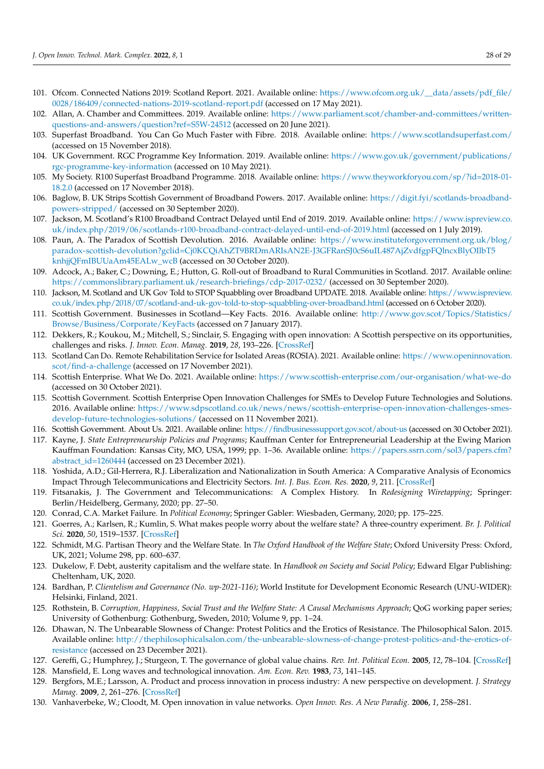- <span id="page-28-0"></span>101. Ofcom. Connected Nations 2019: Scotland Report. 2021. Available online: [https://www.ofcom.org.uk/\\_\\_data/assets/pdf\\_file/](https://www.ofcom.org.uk/__data/assets/pdf_file/0028/186409/connected-nations-2019-scotland-report.pdf) [0028/186409/connected-nations-2019-scotland-report.pdf](https://www.ofcom.org.uk/__data/assets/pdf_file/0028/186409/connected-nations-2019-scotland-report.pdf) (accessed on 17 May 2021).
- <span id="page-28-1"></span>102. Allan, A. Chamber and Committees. 2019. Available online: [https://www.parliament.scot/chamber-and-committees/written](https://www.parliament.scot/chamber-and-committees/written-questions-and-answers/question?ref=S5W-24512)[questions-and-answers/question?ref=S5W-24512](https://www.parliament.scot/chamber-and-committees/written-questions-and-answers/question?ref=S5W-24512) (accessed on 20 June 2021).
- <span id="page-28-2"></span>103. Superfast Broadband. You Can Go Much Faster with Fibre. 2018. Available online: <https://www.scotlandsuperfast.com/> (accessed on 15 November 2018).
- <span id="page-28-3"></span>104. UK Government. RGC Programme Key Information. 2019. Available online: [https://www.gov.uk/government/publications/](https://www.gov.uk/government/publications/rgc-programme-key-information) [rgc-programme-key-information](https://www.gov.uk/government/publications/rgc-programme-key-information) (accessed on 10 May 2021).
- <span id="page-28-4"></span>105. My Society. R100 Superfast Broadband Programme. 2018. Available online: [https://www.theyworkforyou.com/sp/?id=2018-01-](https://www.theyworkforyou.com/sp/?id=2018-01-18.2.0) [18.2.0](https://www.theyworkforyou.com/sp/?id=2018-01-18.2.0) (accessed on 17 November 2018).
- <span id="page-28-5"></span>106. Baglow, B. UK Strips Scottish Government of Broadband Powers. 2017. Available online: [https://digit.fyi/scotlands-broadband](https://digit.fyi/scotlands-broadband-powers-stripped/)[powers-stripped/](https://digit.fyi/scotlands-broadband-powers-stripped/) (accessed on 30 September 2020).
- <span id="page-28-6"></span>107. Jackson, M. Scotland's R100 Broadband Contract Delayed until End of 2019. 2019. Available online: [https://www.ispreview.co.](https://www.ispreview.co.uk/index.php/2019/06/scotlands-r100-broadband-contract-delayed-until-end-of-2019.html) [uk/index.php/2019/06/scotlands-r100-broadband-contract-delayed-until-end-of-2019.html](https://www.ispreview.co.uk/index.php/2019/06/scotlands-r100-broadband-contract-delayed-until-end-of-2019.html) (accessed on 1 July 2019).
- <span id="page-28-7"></span>108. Paun, A. The Paradox of Scottish Devolution. 2016. Available online: [https://www.instituteforgovernment.org.uk/blog/](https://www.instituteforgovernment.org.uk/blog/paradox-scottish-devolution?gclid=Cj0KCQiAhZT9BRDmARIsAN2E-J3GFRanSJ0cS6uIL487AjZvdfgpFQlncxBlyOIlbT5knhjjQFmIBUUaAm45EALw_wcB) [paradox-scottish-devolution?gclid=Cj0KCQiAhZT9BRDmARIsAN2E-J3GFRanSJ0cS6uIL487AjZvdfgpFQlncxBlyOIlbT5](https://www.instituteforgovernment.org.uk/blog/paradox-scottish-devolution?gclid=Cj0KCQiAhZT9BRDmARIsAN2E-J3GFRanSJ0cS6uIL487AjZvdfgpFQlncxBlyOIlbT5knhjjQFmIBUUaAm45EALw_wcB) [knhjjQFmIBUUaAm45EALw\\_wcB](https://www.instituteforgovernment.org.uk/blog/paradox-scottish-devolution?gclid=Cj0KCQiAhZT9BRDmARIsAN2E-J3GFRanSJ0cS6uIL487AjZvdfgpFQlncxBlyOIlbT5knhjjQFmIBUUaAm45EALw_wcB) (accessed on 30 October 2020).
- <span id="page-28-8"></span>109. Adcock, A.; Baker, C.; Downing, E.; Hutton, G. Roll-out of Broadband to Rural Communities in Scotland. 2017. Available online: <https://commonslibrary.parliament.uk/research-briefings/cdp-2017-0232/> (accessed on 30 September 2020).
- <span id="page-28-9"></span>110. Jackson, M. Scotland and UK Gov Told to STOP Squabbling over Broadband UPDATE. 2018. Available online: [https://www.ispreview.](https://www.ispreview.co.uk/index.php/2018/07/scotland-and-uk-gov-told-to-stop-squabbling-over-broadband.html) [co.uk/index.php/2018/07/scotland-and-uk-gov-told-to-stop-squabbling-over-broadband.html](https://www.ispreview.co.uk/index.php/2018/07/scotland-and-uk-gov-told-to-stop-squabbling-over-broadband.html) (accessed on 6 October 2020).
- <span id="page-28-10"></span>111. Scottish Government. Businesses in Scotland—Key Facts. 2016. Available online: [http://www.gov.scot/Topics/Statistics/](http://www.gov.scot/Topics/Statistics/Browse/Business/Corporate/KeyFacts) [Browse/Business/Corporate/KeyFacts](http://www.gov.scot/Topics/Statistics/Browse/Business/Corporate/KeyFacts) (accessed on 7 January 2017).
- <span id="page-28-11"></span>112. Dekkers, R.; Koukou, M.; Mitchell, S.; Sinclair, S. Engaging with open innovation: A Scottish perspective on its opportunities, challenges and risks. *J. Innov. Econ. Manag.* **2019**, *28*, 193–226. [\[CrossRef\]](http://doi.org/10.3917/jie.028.0187)
- <span id="page-28-12"></span>113. Scotland Can Do. Remote Rehabilitation Service for Isolated Areas (ROSIA). 2021. Available online: [https://www.openinnovation.](https://www.openinnovation.scot/find-a-challenge) [scot/find-a-challenge](https://www.openinnovation.scot/find-a-challenge) (accessed on 17 November 2021).
- <span id="page-28-13"></span>114. Scottish Enterprise. What We Do. 2021. Available online: <https://www.scottish-enterprise.com/our-organisation/what-we-do> (accessed on 30 October 2021).
- <span id="page-28-14"></span>115. Scottish Government. Scottish Enterprise Open Innovation Challenges for SMEs to Develop Future Technologies and Solutions. 2016. Available online: [https://www.sdpscotland.co.uk/news/news/scottish-enterprise-open-innovation-challenges-smes](https://www.sdpscotland.co.uk/news/news/scottish-enterprise-open-innovation-challenges-smes-develop-future-technologies-solutions/)[develop-future-technologies-solutions/](https://www.sdpscotland.co.uk/news/news/scottish-enterprise-open-innovation-challenges-smes-develop-future-technologies-solutions/) (accessed on 11 November 2021).
- <span id="page-28-15"></span>116. Scottish Government. About Us. 2021. Available online: <https://findbusinesssupport.gov.scot/about-us> (accessed on 30 October 2021).
- <span id="page-28-16"></span>117. Kayne, J. *State Entrepreneurship Policies and Programs*; Kauffman Center for Entrepreneurial Leadership at the Ewing Marion Kauffman Foundation: Kansas City, MO, USA, 1999; pp. 1–36. Available online: [https://papers.ssrn.com/sol3/papers.cfm?](https://papers.ssrn.com/sol3/papers.cfm?abstract_id=1260444) [abstract\\_id=1260444](https://papers.ssrn.com/sol3/papers.cfm?abstract_id=1260444) (accessed on 23 December 2021).
- <span id="page-28-17"></span>118. Yoshida, A.D.; Gil-Herrera, R.J. Liberalization and Nationalization in South America: A Comparative Analysis of Economics Impact Through Telecommunications and Electricity Sectors. *Int. J. Bus. Econ. Res.* **2020**, *9*, 211. [\[CrossRef\]](http://doi.org/10.11648/j.ijber.20200904.18)
- <span id="page-28-18"></span>119. Fitsanakis, J. The Government and Telecommunications: A Complex History. In *Redesigning Wiretapping*; Springer: Berlin/Heidelberg, Germany, 2020; pp. 27–50.
- <span id="page-28-19"></span>120. Conrad, C.A. Market Failure. In *Political Economy*; Springer Gabler: Wiesbaden, Germany, 2020; pp. 175–225.
- <span id="page-28-20"></span>121. Goerres, A.; Karlsen, R.; Kumlin, S. What makes people worry about the welfare state? A three-country experiment. *Br. J. Political Sci.* **2020**, *50*, 1519–1537. [\[CrossRef\]](http://doi.org/10.1017/S0007123418000224)
- 122. Schmidt, M.G. Partisan Theory and the Welfare State. In *The Oxford Handbook of the Welfare State*; Oxford University Press: Oxford, UK, 2021; Volume 298, pp. 600–637.
- <span id="page-28-21"></span>123. Dukelow, F. Debt, austerity capitalism and the welfare state. In *Handbook on Society and Social Policy*; Edward Elgar Publishing: Cheltenham, UK, 2020.
- <span id="page-28-22"></span>124. Bardhan, P. *Clientelism and Governance (No. wp-2021-116)*; World Institute for Development Economic Research (UNU-WIDER): Helsinki, Finland, 2021.
- <span id="page-28-23"></span>125. Rothstein, B. *Corruption, Happiness, Social Trust and the Welfare State: A Causal Mechanisms Approach*; QoG working paper series; University of Gothenburg: Gothenburg, Sweden, 2010; Volume 9, pp. 1–24.
- <span id="page-28-24"></span>126. Dhawan, N. The Unbearable Slowness of Change: Protest Politics and the Erotics of Resistance. The Philosophical Salon. 2015. Available online: [http://thephilosophicalsalon.com/the-unbearable-slowness-of-change-protest-politics-and-the-erotics-of](http://thephilosophicalsalon.com/the-unbearable-slowness-of-change-protest-politics-and-the-erotics-of-resistance)[resistance](http://thephilosophicalsalon.com/the-unbearable-slowness-of-change-protest-politics-and-the-erotics-of-resistance) (accessed on 23 December 2021).
- <span id="page-28-25"></span>127. Gereffi, G.; Humphrey, J.; Sturgeon, T. The governance of global value chains. *Rev. Int. Political Econ.* **2005**, *12*, 78–104. [\[CrossRef\]](http://doi.org/10.1080/09692290500049805)
- <span id="page-28-26"></span>128. Mansfield, E. Long waves and technological innovation. *Am. Econ. Rev.* **1983**, *73*, 141–145.
- <span id="page-28-27"></span>129. Bergfors, M.E.; Larsson, A. Product and process innovation in process industry: A new perspective on development. *J. Strategy Manag.* **2009**, *2*, 261–276. [\[CrossRef\]](http://doi.org/10.1108/17554250910982499)
- <span id="page-28-28"></span>130. Vanhaverbeke, W.; Cloodt, M. Open innovation in value networks. *Open Innov. Res. A New Paradig.* **2006**, *1*, 258–281.